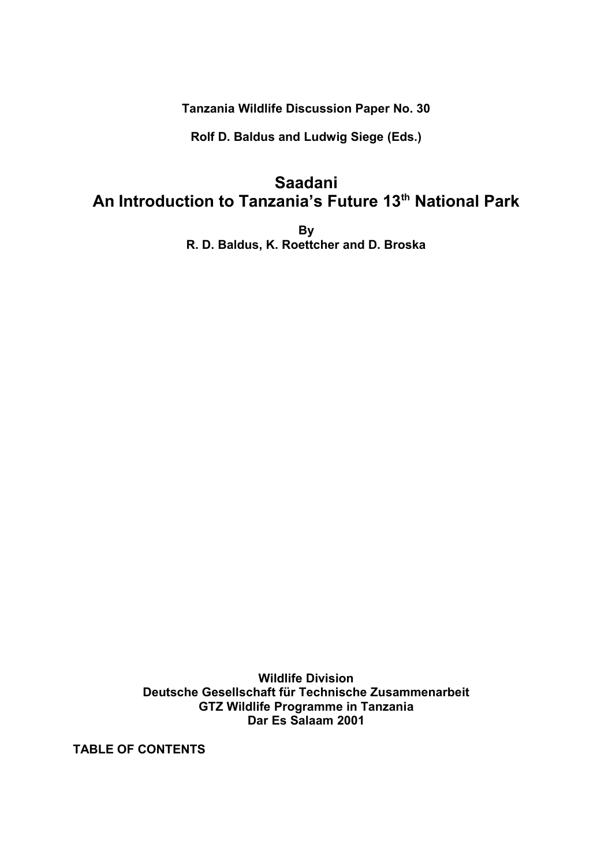**Tanzania Wildlife Discussion Paper No. 30**

**Rolf D. Baldus and Ludwig Siege (Eds.)**

# **Saadani An Introduction to Tanzania's Future 13 th National Park**

**By R. D. Baldus, K. Roettcher and D. Broska**

**Wildlife Division Deutsche Gesellschaft für Technische Zusammenarbeit GTZ Wildlife Programme in Tanzania Dar Es Salaam 2001**

**TABLE OF CONTENTS**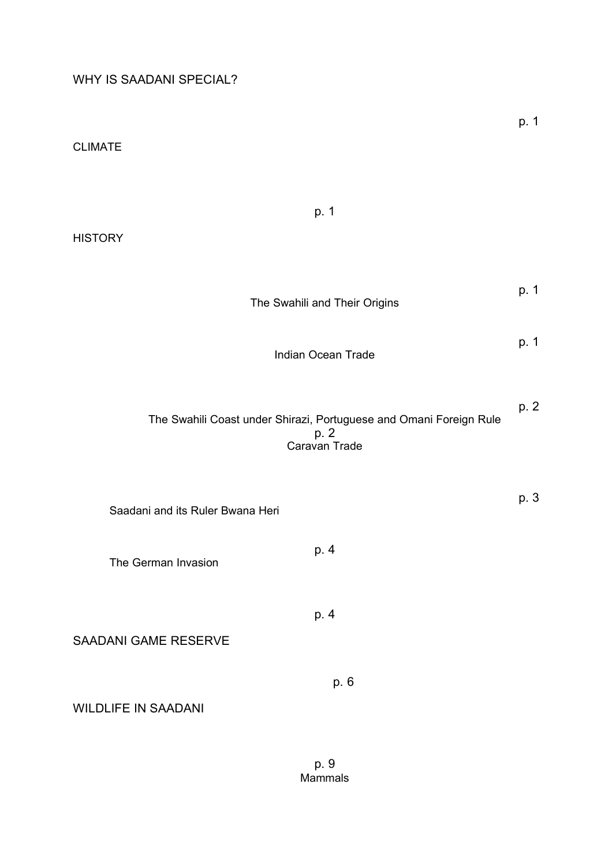CLIMATE

| p. 1<br><b>HISTORY</b>                                                                      |      |
|---------------------------------------------------------------------------------------------|------|
|                                                                                             |      |
| The Swahili and Their Origins                                                               | p. 1 |
| Indian Ocean Trade                                                                          | p. 1 |
| The Swahili Coast under Shirazi, Portuguese and Omani Foreign Rule<br>p. 2<br>Caravan Trade | p. 2 |
| Saadani and its Ruler Bwana Heri                                                            | p. 3 |
| p. 4<br>The German Invasion                                                                 |      |
| p. 4<br>SAADANI GAME RESERVE                                                                |      |
| p. 6<br><b>WILDLIFE IN SAADANI</b>                                                          |      |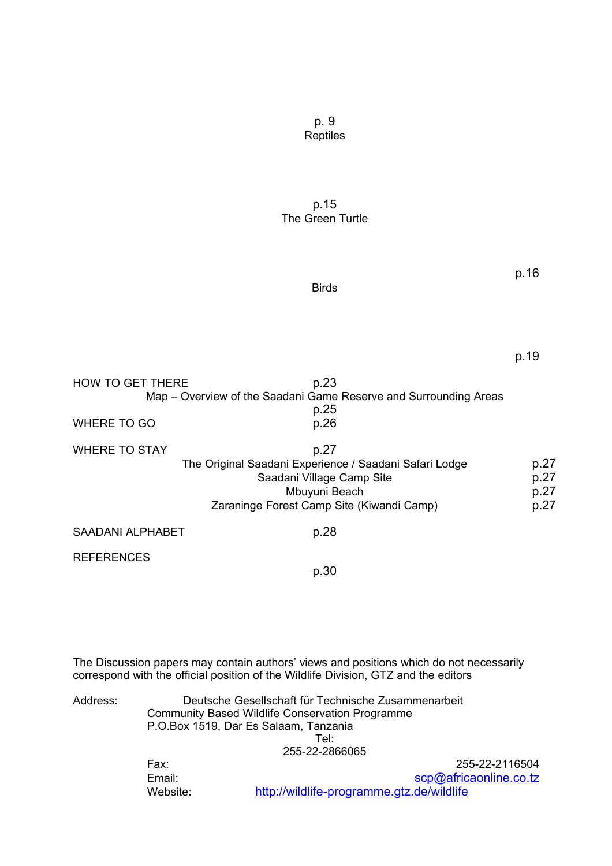p. 9 Reptiles

p.15 The Green Turtle

Birds

| ۰, |  | ×<br>۰. |
|----|--|---------|
|    |  |         |

| <b>HOW TO GET THERE</b> | p.23                                                             |      |
|-------------------------|------------------------------------------------------------------|------|
|                         | Map – Overview of the Saadani Game Reserve and Surrounding Areas |      |
|                         | p.25                                                             |      |
| <b>WHERE TO GO</b>      | p.26                                                             |      |
| <b>WHERE TO STAY</b>    | p.27                                                             |      |
|                         | The Original Saadani Experience / Saadani Safari Lodge           | p.27 |
|                         | Saadani Village Camp Site                                        | p.27 |
|                         | Mbuyuni Beach                                                    | p.27 |
|                         | Zaraninge Forest Camp Site (Kiwandi Camp)                        | p.27 |
| <b>SAADANI ALPHABET</b> | p.28                                                             |      |
| <b>REFERENCES</b>       |                                                                  |      |
|                         | p.30                                                             |      |

The Discussion papers may contain authors' views and positions which do not necessarily correspond with the official position of the Wildlife Division, GTZ and the editors

Address: Deutsche Gesellschaft für Technische Zusammenarbeit Community Based Wildlife Conservation Programme P.O.Box 1519, Dar Es Salaam, Tanzania Tel: 255-22-2866065 Fax: 255-22-2116504 Email: Scp@africaonline.co.tz

Website: http://wildlife-programme.gtz.de/wildlife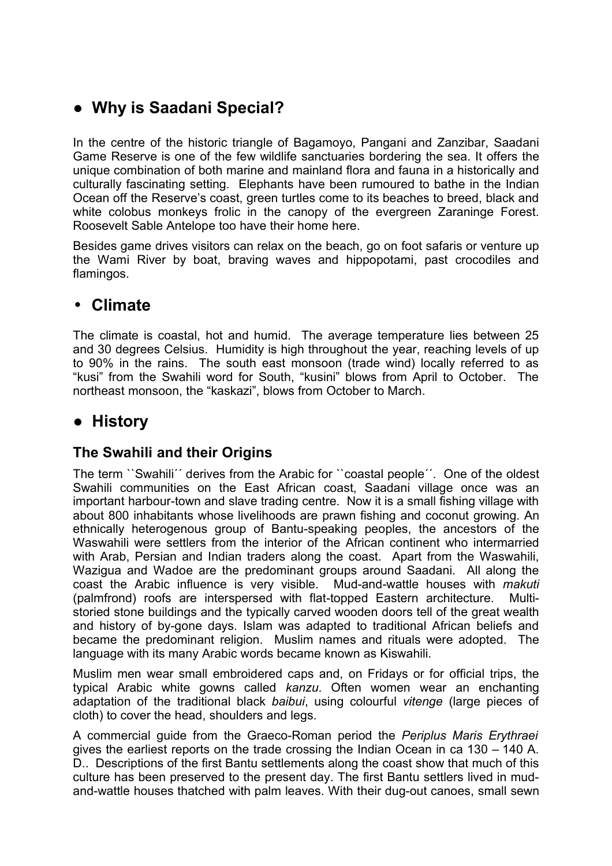# **● Why is Saadani Special?**

In the centre of the historic triangle of Bagamoyo, Pangani and Zanzibar, Saadani Game Reserve is one of the few wildlife sanctuaries bordering the sea. It offers the unique combination of both marine and mainland flora and fauna in a historically and culturally fascinating setting. Elephants have been rumoured to bathe in the Indian Ocean off the Reserve's coast, green turtles come to its beaches to breed, black and white colobus monkeys frolic in the canopy of the evergreen Zaraninge Forest. Roosevelt Sable Antelope too have their home here.

Besides game drives visitors can relax on the beach, go on foot safaris or venture up the Wami River by boat, braving waves and hippopotami, past crocodiles and flamingos.

## • **Climate**

The climate is coastal, hot and humid. The average temperature lies between 25 and 30 degrees Celsius. Humidity is high throughout the year, reaching levels of up to 90% in the rains. The south east monsoon (trade wind) locally referred to as "kusi" from the Swahili word for South, "kusini" blows from April to October. The northeast monsoon, the "kaskazi", blows from October to March.

## **● History**

## **The Swahili and their Origins**

The term ``Swahili´´ derives from the Arabic for ``coastal people´´. One of the oldest Swahili communities on the East African coast, Saadani village once was an important harbour-town and slave trading centre. Now it is a small fishing village with about 800 inhabitants whose livelihoods are prawn fishing and coconut growing. An ethnically heterogenous group of Bantu-speaking peoples, the ancestors of the Waswahili were settlers from the interior of the African continent who intermarried with Arab, Persian and Indian traders along the coast. Apart from the Waswahili, Wazigua and Wadoe are the predominant groups around Saadani. All along the coast the Arabic influence is very visible. Mud-and-wattle houses with *makuti* (palmfrond) roofs are interspersed with flat-topped Eastern architecture. Multistoried stone buildings and the typically carved wooden doors tell of the great wealth and history of by-gone days. Islam was adapted to traditional African beliefs and became the predominant religion. Muslim names and rituals were adopted. The language with its many Arabic words became known as Kiswahili.

Muslim men wear small embroidered caps and, on Fridays or for official trips, the typical Arabic white gowns called *kanzu*. Often women wear an enchanting adaptation of the traditional black *baibui*, using colourful *vitenge* (large pieces of cloth) to cover the head, shoulders and legs.

A commercial guide from the Graeco-Roman period the *Periplus Maris Erythraei* gives the earliest reports on the trade crossing the Indian Ocean in ca 130 – 140 A. D.. Descriptions of the first Bantu settlements along the coast show that much of this culture has been preserved to the present day. The first Bantu settlers lived in mudand-wattle houses thatched with palm leaves. With their dug-out canoes, small sewn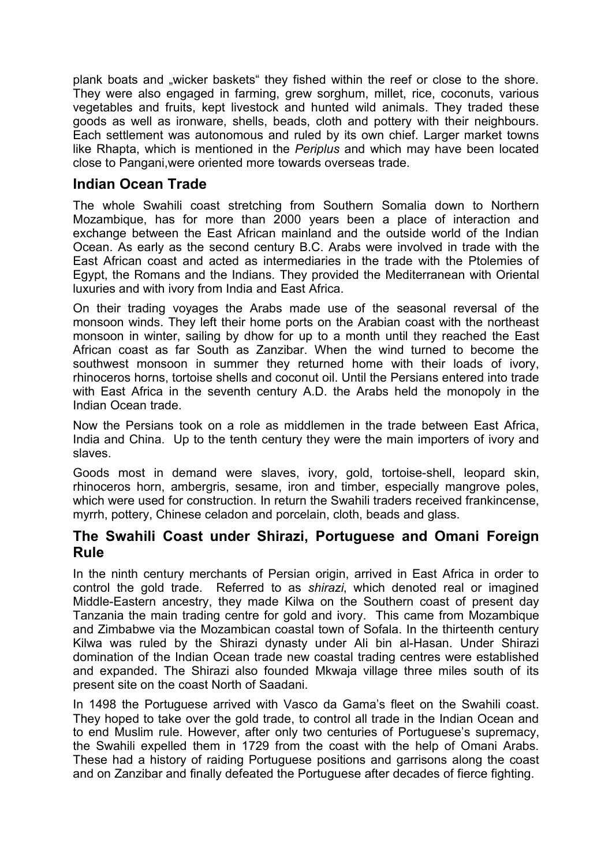plank boats and "wicker baskets" they fished within the reef or close to the shore. They were also engaged in farming, grew sorghum, millet, rice, coconuts, various vegetables and fruits, kept livestock and hunted wild animals. They traded these goods as well as ironware, shells, beads, cloth and pottery with their neighbours. Each settlement was autonomous and ruled by its own chief. Larger market towns like Rhapta, which is mentioned in the *Periplus* and which may have been located close to Pangani,were oriented more towards overseas trade.

### **Indian Ocean Trade**

The whole Swahili coast stretching from Southern Somalia down to Northern Mozambique, has for more than 2000 years been a place of interaction and exchange between the East African mainland and the outside world of the Indian Ocean. As early as the second century B.C. Arabs were involved in trade with the East African coast and acted as intermediaries in the trade with the Ptolemies of Egypt, the Romans and the Indians. They provided the Mediterranean with Oriental luxuries and with ivory from India and East Africa.

On their trading voyages the Arabs made use of the seasonal reversal of the monsoon winds. They left their home ports on the Arabian coast with the northeast monsoon in winter, sailing by dhow for up to a month until they reached the East African coast as far South as Zanzibar. When the wind turned to become the southwest monsoon in summer they returned home with their loads of ivory, rhinoceros horns, tortoise shells and coconut oil. Until the Persians entered into trade with East Africa in the seventh century A.D. the Arabs held the monopoly in the Indian Ocean trade.

Now the Persians took on a role as middlemen in the trade between East Africa, India and China. Up to the tenth century they were the main importers of ivory and slaves.

Goods most in demand were slaves, ivory, gold, tortoise-shell, leopard skin, rhinoceros horn, ambergris, sesame, iron and timber, especially mangrove poles, which were used for construction. In return the Swahili traders received frankincense, myrrh, pottery, Chinese celadon and porcelain, cloth, beads and glass.

### **The Swahili Coast under Shirazi, Portuguese and Omani Foreign Rule**

In the ninth century merchants of Persian origin, arrived in East Africa in order to control the gold trade. Referred to as *shirazi*, which denoted real or imagined Middle-Eastern ancestry, they made Kilwa on the Southern coast of present day Tanzania the main trading centre for gold and ivory. This came from Mozambique and Zimbabwe via the Mozambican coastal town of Sofala. In the thirteenth century Kilwa was ruled by the Shirazi dynasty under Ali bin al-Hasan. Under Shirazi domination of the Indian Ocean trade new coastal trading centres were established and expanded. The Shirazi also founded Mkwaja village three miles south of its present site on the coast North of Saadani.

In 1498 the Portuguese arrived with Vasco da Gama's fleet on the Swahili coast. They hoped to take over the gold trade, to control all trade in the Indian Ocean and to end Muslim rule. However, after only two centuries of Portuguese's supremacy, the Swahili expelled them in 1729 from the coast with the help of Omani Arabs. These had a history of raiding Portuguese positions and garrisons along the coast and on Zanzibar and finally defeated the Portuguese after decades of fierce fighting.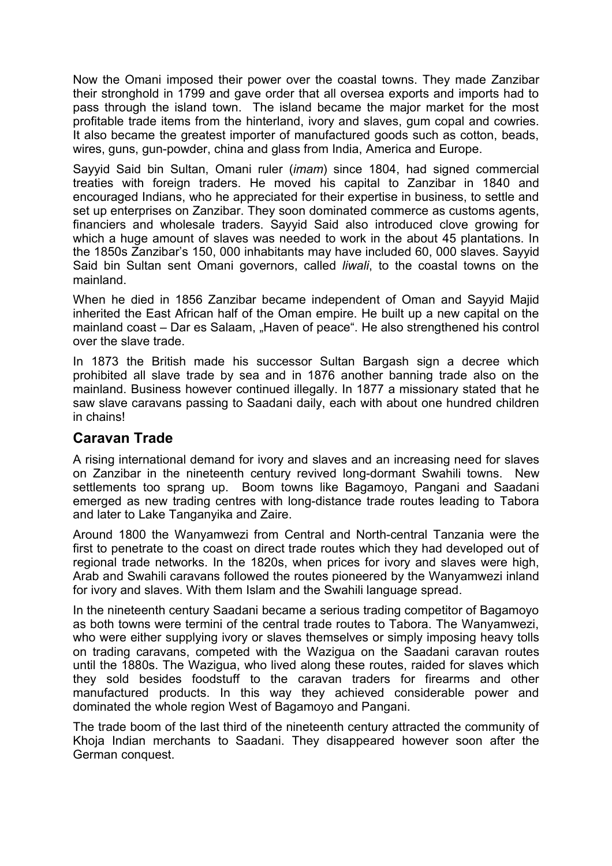Now the Omani imposed their power over the coastal towns. They made Zanzibar their stronghold in 1799 and gave order that all oversea exports and imports had to pass through the island town. The island became the major market for the most profitable trade items from the hinterland, ivory and slaves, gum copal and cowries. It also became the greatest importer of manufactured goods such as cotton, beads, wires, guns, gun-powder, china and glass from India, America and Europe.

Sayyid Said bin Sultan, Omani ruler (*imam*) since 1804, had signed commercial treaties with foreign traders. He moved his capital to Zanzibar in 1840 and encouraged Indians, who he appreciated for their expertise in business, to settle and set up enterprises on Zanzibar. They soon dominated commerce as customs agents, financiers and wholesale traders. Sayyid Said also introduced clove growing for which a huge amount of slaves was needed to work in the about 45 plantations. In the 1850s Zanzibar's 150, 000 inhabitants may have included 60, 000 slaves. Sayyid Said bin Sultan sent Omani governors, called *liwali*, to the coastal towns on the mainland.

When he died in 1856 Zanzibar became independent of Oman and Sayyid Majid inherited the East African half of the Oman empire. He built up a new capital on the mainland coast – Dar es Salaam, "Haven of peace". He also strengthened his control over the slave trade.

In 1873 the British made his successor Sultan Bargash sign a decree which prohibited all slave trade by sea and in 1876 another banning trade also on the mainland. Business however continued illegally. In 1877 a missionary stated that he saw slave caravans passing to Saadani daily, each with about one hundred children in chains!

## **Caravan Trade**

A rising international demand for ivory and slaves and an increasing need for slaves on Zanzibar in the nineteenth century revived long-dormant Swahili towns. New settlements too sprang up. Boom towns like Bagamoyo, Pangani and Saadani emerged as new trading centres with long-distance trade routes leading to Tabora and later to Lake Tanganyika and Zaire.

Around 1800 the Wanyamwezi from Central and North-central Tanzania were the first to penetrate to the coast on direct trade routes which they had developed out of regional trade networks. In the 1820s, when prices for ivory and slaves were high, Arab and Swahili caravans followed the routes pioneered by the Wanyamwezi inland for ivory and slaves. With them Islam and the Swahili language spread.

In the nineteenth century Saadani became a serious trading competitor of Bagamoyo as both towns were termini of the central trade routes to Tabora. The Wanyamwezi, who were either supplying ivory or slaves themselves or simply imposing heavy tolls on trading caravans, competed with the Wazigua on the Saadani caravan routes until the 1880s. The Wazigua, who lived along these routes, raided for slaves which they sold besides foodstuff to the caravan traders for firearms and other manufactured products. In this way they achieved considerable power and dominated the whole region West of Bagamoyo and Pangani.

The trade boom of the last third of the nineteenth century attracted the community of Khoja Indian merchants to Saadani. They disappeared however soon after the German conquest.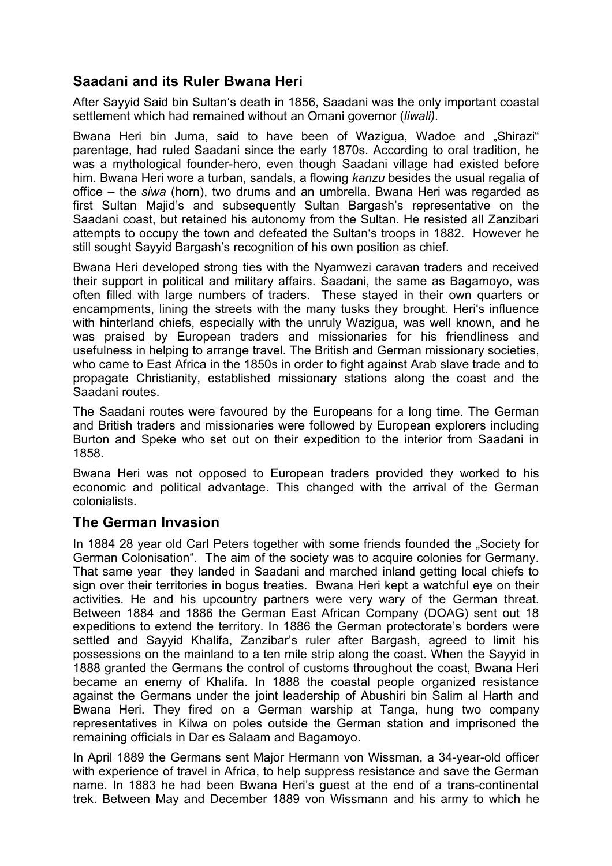## **Saadani and its Ruler Bwana Heri**

After Sayyid Said bin Sultan's death in 1856, Saadani was the only important coastal settlement which had remained without an Omani governor (*liwali)*.

Bwana Heri bin Juma, said to have been of Wazigua, Wadoe and "Shirazi" parentage, had ruled Saadani since the early 1870s. According to oral tradition, he was a mythological founder-hero, even though Saadani village had existed before him. Bwana Heri wore a turban, sandals, a flowing *kanzu* besides the usual regalia of office – the *siwa* (horn), two drums and an umbrella. Bwana Heri was regarded as first Sultan Majid's and subsequently Sultan Bargash's representative on the Saadani coast, but retained his autonomy from the Sultan. He resisted all Zanzibari attempts to occupy the town and defeated the Sultan's troops in 1882. However he still sought Sayyid Bargash's recognition of his own position as chief.

Bwana Heri developed strong ties with the Nyamwezi caravan traders and received their support in political and military affairs. Saadani, the same as Bagamoyo, was often filled with large numbers of traders. These stayed in their own quarters or encampments, lining the streets with the many tusks they brought. Heri's influence with hinterland chiefs, especially with the unruly Wazigua, was well known, and he was praised by European traders and missionaries for his friendliness and usefulness in helping to arrange travel. The British and German missionary societies, who came to East Africa in the 1850s in order to fight against Arab slave trade and to propagate Christianity, established missionary stations along the coast and the Saadani routes.

The Saadani routes were favoured by the Europeans for a long time. The German and British traders and missionaries were followed by European explorers including Burton and Speke who set out on their expedition to the interior from Saadani in 1858.

Bwana Heri was not opposed to European traders provided they worked to his economic and political advantage. This changed with the arrival of the German colonialists.

## **The German Invasion**

In 1884 28 year old Carl Peters together with some friends founded the "Society for German Colonisation". The aim of the society was to acquire colonies for Germany. That same year they landed in Saadani and marched inland getting local chiefs to sign over their territories in bogus treaties. Bwana Heri kept a watchful eye on their activities. He and his upcountry partners were very wary of the German threat. Between 1884 and 1886 the German East African Company (DOAG) sent out 18 expeditions to extend the territory. In 1886 the German protectorate's borders were settled and Sayyid Khalifa, Zanzibar's ruler after Bargash, agreed to limit his possessions on the mainland to a ten mile strip along the coast. When the Sayyid in 1888 granted the Germans the control of customs throughout the coast, Bwana Heri became an enemy of Khalifa. In 1888 the coastal people organized resistance against the Germans under the joint leadership of Abushiri bin Salim al Harth and Bwana Heri. They fired on a German warship at Tanga, hung two company representatives in Kilwa on poles outside the German station and imprisoned the remaining officials in Dar es Salaam and Bagamoyo.

In April 1889 the Germans sent Major Hermann von Wissman, a 34-year-old officer with experience of travel in Africa, to help suppress resistance and save the German name. In 1883 he had been Bwana Heri's guest at the end of a trans-continental trek. Between May and December 1889 von Wissmann and his army to which he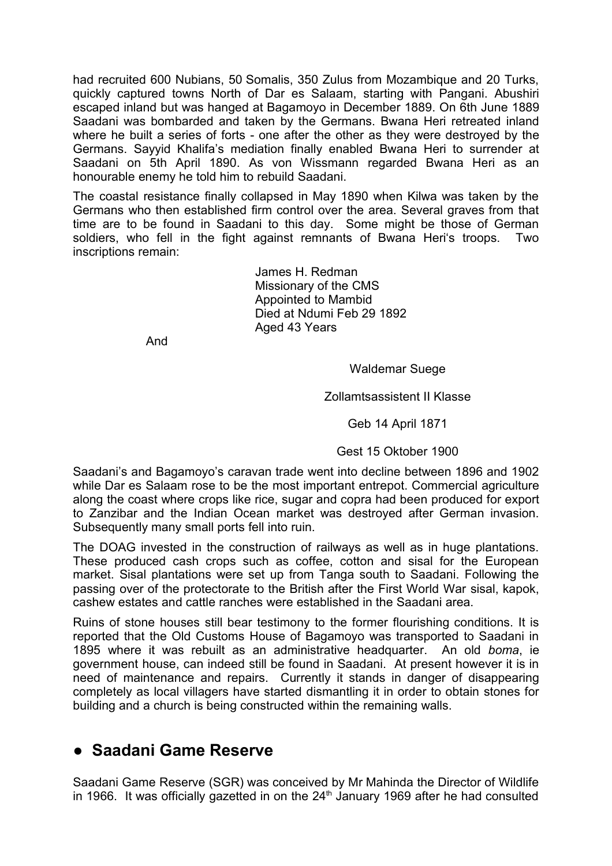had recruited 600 Nubians, 50 Somalis, 350 Zulus from Mozambique and 20 Turks, quickly captured towns North of Dar es Salaam, starting with Pangani. Abushiri escaped inland but was hanged at Bagamoyo in December 1889. On 6th June 1889 Saadani was bombarded and taken by the Germans. Bwana Heri retreated inland where he built a series of forts - one after the other as they were destroyed by the Germans. Sayyid Khalifa's mediation finally enabled Bwana Heri to surrender at Saadani on 5th April 1890. As von Wissmann regarded Bwana Heri as an honourable enemy he told him to rebuild Saadani.

The coastal resistance finally collapsed in May 1890 when Kilwa was taken by the Germans who then established firm control over the area. Several graves from that time are to be found in Saadani to this day. Some might be those of German soldiers, who fell in the fight against remnants of Bwana Heri's troops. Two inscriptions remain:

> James H. Redman Missionary of the CMS Appointed to Mambid Died at Ndumi Feb 29 1892 Aged 43 Years

And

Waldemar Suege

Zollamtsassistent II Klasse

Geb 14 April 1871

Gest 15 Oktober 1900

Saadani's and Bagamoyo's caravan trade went into decline between 1896 and 1902 while Dar es Salaam rose to be the most important entrepot. Commercial agriculture along the coast where crops like rice, sugar and copra had been produced for export to Zanzibar and the Indian Ocean market was destroyed after German invasion. Subsequently many small ports fell into ruin.

The DOAG invested in the construction of railways as well as in huge plantations. These produced cash crops such as coffee, cotton and sisal for the European market. Sisal plantations were set up from Tanga south to Saadani. Following the passing over of the protectorate to the British after the First World War sisal, kapok, cashew estates and cattle ranches were established in the Saadani area.

Ruins of stone houses still bear testimony to the former flourishing conditions. It is reported that the Old Customs House of Bagamoyo was transported to Saadani in 1895 where it was rebuilt as an administrative headquarter. An old *boma*, ie government house, can indeed still be found in Saadani. At present however it is in need of maintenance and repairs. Currently it stands in danger of disappearing completely as local villagers have started dismantling it in order to obtain stones for building and a church is being constructed within the remaining walls.

## **● Saadani Game Reserve**

Saadani Game Reserve (SGR) was conceived by Mr Mahinda the Director of Wildlife in 1966. It was officially gazetted in on the  $24<sup>th</sup>$  January 1969 after he had consulted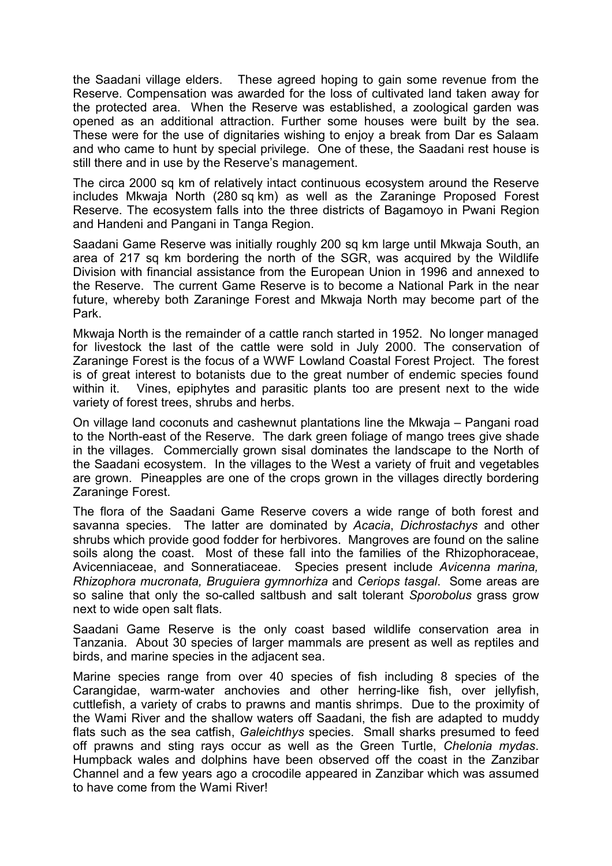the Saadani village elders. These agreed hoping to gain some revenue from the Reserve. Compensation was awarded for the loss of cultivated land taken away for the protected area. When the Reserve was established, a zoological garden was opened as an additional attraction. Further some houses were built by the sea. These were for the use of dignitaries wishing to enjoy a break from Dar es Salaam and who came to hunt by special privilege. One of these, the Saadani rest house is still there and in use by the Reserve's management.

The circa 2000 sq km of relatively intact continuous ecosystem around the Reserve includes Mkwaja North (280 sq km) as well as the Zaraninge Proposed Forest Reserve. The ecosystem falls into the three districts of Bagamoyo in Pwani Region and Handeni and Pangani in Tanga Region.

Saadani Game Reserve was initially roughly 200 sq km large until Mkwaja South, an area of 217 sq km bordering the north of the SGR, was acquired by the Wildlife Division with financial assistance from the European Union in 1996 and annexed to the Reserve. The current Game Reserve is to become a National Park in the near future, whereby both Zaraninge Forest and Mkwaja North may become part of the Park.

Mkwaja North is the remainder of a cattle ranch started in 1952. No longer managed for livestock the last of the cattle were sold in July 2000. The conservation of Zaraninge Forest is the focus of a WWF Lowland Coastal Forest Project. The forest is of great interest to botanists due to the great number of endemic species found within it. Vines, epiphytes and parasitic plants too are present next to the wide variety of forest trees, shrubs and herbs.

On village land coconuts and cashewnut plantations line the Mkwaja – Pangani road to the North-east of the Reserve. The dark green foliage of mango trees give shade in the villages. Commercially grown sisal dominates the landscape to the North of the Saadani ecosystem. In the villages to the West a variety of fruit and vegetables are grown. Pineapples are one of the crops grown in the villages directly bordering Zaraninge Forest.

The flora of the Saadani Game Reserve covers a wide range of both forest and savanna species. The latter are dominated by *Acacia*, *Dichrostachys* and other shrubs which provide good fodder for herbivores. Mangroves are found on the saline soils along the coast. Most of these fall into the families of the Rhizophoraceae, Avicenniaceae, and Sonneratiaceae. Species present include *Avicenna marina, Rhizophora mucronata, Bruguiera gymnorhiza* and *Ceriops tasgal*. Some areas are so saline that only the so-called saltbush and salt tolerant *Sporobolus* grass grow next to wide open salt flats.

Saadani Game Reserve is the only coast based wildlife conservation area in Tanzania. About 30 species of larger mammals are present as well as reptiles and birds, and marine species in the adjacent sea.

Marine species range from over 40 species of fish including 8 species of the Carangidae, warm-water anchovies and other herring-like fish, over jellyfish, cuttlefish, a variety of crabs to prawns and mantis shrimps. Due to the proximity of the Wami River and the shallow waters off Saadani, the fish are adapted to muddy flats such as the sea catfish, *Galeichthys* species. Small sharks presumed to feed off prawns and sting rays occur as well as the Green Turtle, *Chelonia mydas*. Humpback wales and dolphins have been observed off the coast in the Zanzibar Channel and a few years ago a crocodile appeared in Zanzibar which was assumed to have come from the Wami River!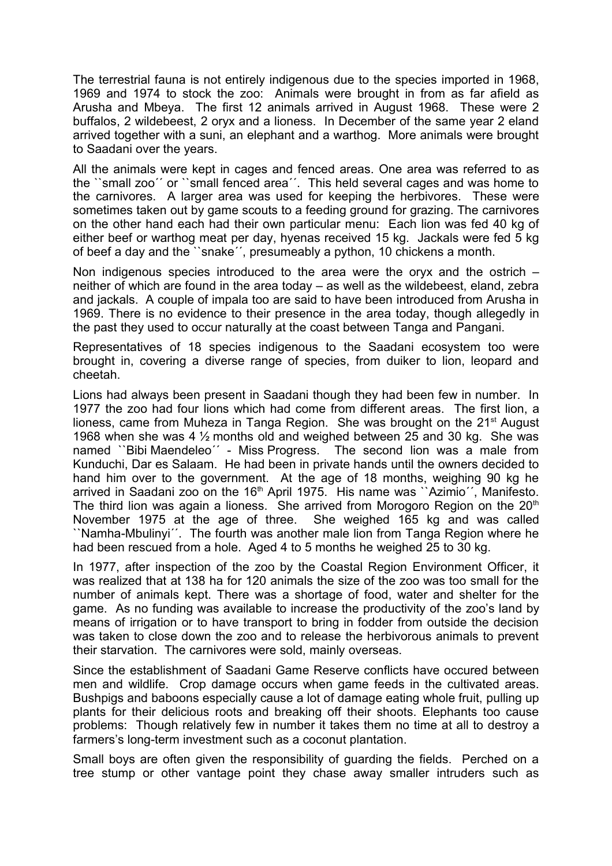The terrestrial fauna is not entirely indigenous due to the species imported in 1968, 1969 and 1974 to stock the zoo: Animals were brought in from as far afield as Arusha and Mbeya. The first 12 animals arrived in August 1968. These were 2 buffalos, 2 wildebeest, 2 oryx and a lioness. In December of the same year 2 eland arrived together with a suni, an elephant and a warthog. More animals were brought to Saadani over the years.

All the animals were kept in cages and fenced areas. One area was referred to as the ``small zoo´´ or ``small fenced area´´. This held several cages and was home to the carnivores. A larger area was used for keeping the herbivores. These were sometimes taken out by game scouts to a feeding ground for grazing. The carnivores on the other hand each had their own particular menu: Each lion was fed 40 kg of either beef or warthog meat per day, hyenas received 15 kg. Jackals were fed 5 kg of beef a day and the ``snake´´, presumeably a python, 10 chickens a month.

Non indigenous species introduced to the area were the oryx and the ostrich – neither of which are found in the area today – as well as the wildebeest, eland, zebra and jackals. A couple of impala too are said to have been introduced from Arusha in 1969. There is no evidence to their presence in the area today, though allegedly in the past they used to occur naturally at the coast between Tanga and Pangani.

Representatives of 18 species indigenous to the Saadani ecosystem too were brought in, covering a diverse range of species, from duiker to lion, leopard and cheetah.

Lions had always been present in Saadani though they had been few in number. In 1977 the zoo had four lions which had come from different areas. The first lion, a lioness, came from Muheza in Tanga Region. She was brought on the 21st August 1968 when she was 4 ½ months old and weighed between 25 and 30 kg. She was named ``Bibi Maendeleo´´ - Miss Progress. The second lion was a male from Kunduchi, Dar es Salaam. He had been in private hands until the owners decided to hand him over to the government. At the age of 18 months, weighing 90 kg he arrived in Saadani zoo on the  $16<sup>th</sup>$  April 1975. His name was "Azimio", Manifesto. The third lion was again a lioness. She arrived from Morogoro Region on the  $20<sup>th</sup>$ November 1975 at the age of three. She weighed 165 kg and was called ``Namha-Mbulinyi´´. The fourth was another male lion from Tanga Region where he had been rescued from a hole. Aged 4 to 5 months he weighed 25 to 30 kg.

In 1977, after inspection of the zoo by the Coastal Region Environment Officer, it was realized that at 138 ha for 120 animals the size of the zoo was too small for the number of animals kept. There was a shortage of food, water and shelter for the game. As no funding was available to increase the productivity of the zoo's land by means of irrigation or to have transport to bring in fodder from outside the decision was taken to close down the zoo and to release the herbivorous animals to prevent their starvation. The carnivores were sold, mainly overseas.

Since the establishment of Saadani Game Reserve conflicts have occured between men and wildlife. Crop damage occurs when game feeds in the cultivated areas. Bushpigs and baboons especially cause a lot of damage eating whole fruit, pulling up plants for their delicious roots and breaking off their shoots. Elephants too cause problems: Though relatively few in number it takes them no time at all to destroy a farmers's long-term investment such as a coconut plantation.

Small boys are often given the responsibility of guarding the fields. Perched on a tree stump or other vantage point they chase away smaller intruders such as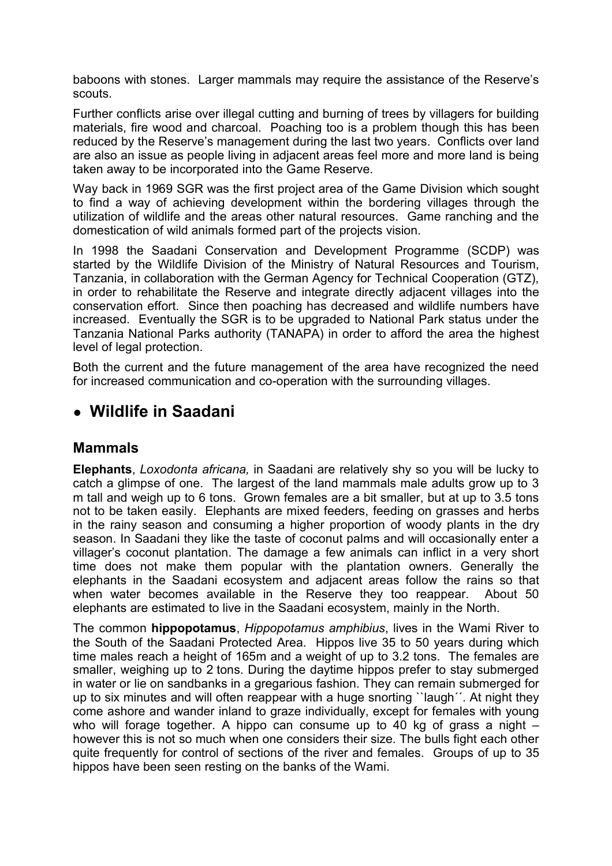baboons with stones. Larger mammals may require the assistance of the Reserve's scouts.

Further conflicts arise over illegal cutting and burning of trees by villagers for building materials, fire wood and charcoal. Poaching too is a problem though this has been reduced by the Reserve's management during the last two years. Conflicts over land are also an issue as people living in adjacent areas feel more and more land is being taken away to be incorporated into the Game Reserve.

Way back in 1969 SGR was the first project area of the Game Division which sought to find a way of achieving development within the bordering villages through the utilization of wildlife and the areas other natural resources. Game ranching and the domestication of wild animals formed part of the projects vision.

In 1998 the Saadani Conservation and Development Programme (SCDP) was started by the Wildlife Division of the Ministry of Natural Resources and Tourism, Tanzania, in collaboration with the German Agency for Technical Cooperation (GTZ), in order to rehabilitate the Reserve and integrate directly adjacent villages into the conservation effort. Since then poaching has decreased and wildlife numbers have increased. Eventually the SGR is to be upgraded to National Park status under the Tanzania National Parks authority (TANAPA) in order to afford the area the highest level of legal protection.

Both the current and the future management of the area have recognized the need for increased communication and co-operation with the surrounding villages.

## **● Wildlife in Saadani**

## **Mammals**

**Elephants**, *Loxodonta africana,* in Saadani are relatively shy so you will be lucky to catch a glimpse of one. The largest of the land mammals male adults grow up to 3 m tall and weigh up to 6 tons. Grown females are a bit smaller, but at up to 3.5 tons not to be taken easily. Elephants are mixed feeders, feeding on grasses and herbs in the rainy season and consuming a higher proportion of woody plants in the dry season. In Saadani they like the taste of coconut palms and will occasionally enter a villager's coconut plantation. The damage a few animals can inflict in a very short time does not make them popular with the plantation owners. Generally the elephants in the Saadani ecosystem and adjacent areas follow the rains so that when water becomes available in the Reserve they too reappear. About 50 elephants are estimated to live in the Saadani ecosystem, mainly in the North.

The common **hippopotamus**, *Hippopotamus amphibius*, lives in the Wami River to the South of the Saadani Protected Area. Hippos live 35 to 50 years during which time males reach a height of 165m and a weight of up to 3.2 tons. The females are smaller, weighing up to 2 tons. During the daytime hippos prefer to stay submerged in water or lie on sandbanks in a gregarious fashion. They can remain submerged for up to six minutes and will often reappear with a huge snorting ``laugh´´. At night they come ashore and wander inland to graze individually, except for females with young who will forage together. A hippo can consume up to 40 kg of grass a night – however this is not so much when one considers their size. The bulls fight each other quite frequently for control of sections of the river and females. Groups of up to 35 hippos have been seen resting on the banks of the Wami.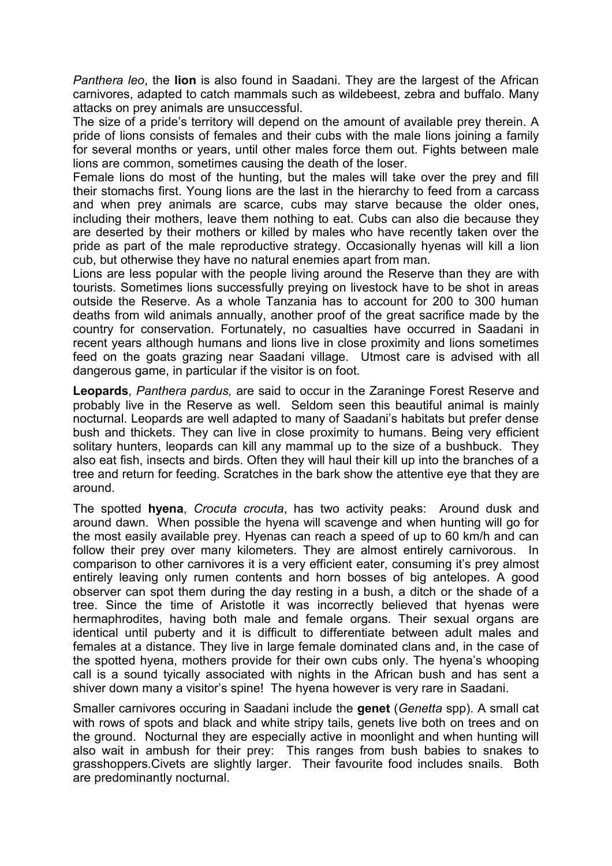*Panthera leo*, the **lion** is also found in Saadani. They are the largest of the African carnivores, adapted to catch mammals such as wildebeest, zebra and buffalo. Many attacks on prey animals are unsuccessful.

The size of a pride's territory will depend on the amount of available prey therein. A pride of lions consists of females and their cubs with the male lions joining a family for several months or years, until other males force them out. Fights between male lions are common, sometimes causing the death of the loser.

Female lions do most of the hunting, but the males will take over the prey and fill their stomachs first. Young lions are the last in the hierarchy to feed from a carcass and when prey animals are scarce, cubs may starve because the older ones, including their mothers, leave them nothing to eat. Cubs can also die because they are deserted by their mothers or killed by males who have recently taken over the pride as part of the male reproductive strategy. Occasionally hyenas will kill a lion cub, but otherwise they have no natural enemies apart from man.

Lions are less popular with the people living around the Reserve than they are with tourists. Sometimes lions successfully preying on livestock have to be shot in areas outside the Reserve. As a whole Tanzania has to account for 200 to 300 human deaths from wild animals annually, another proof of the great sacrifice made by the country for conservation. Fortunately, no casualties have occurred in Saadani in recent years although humans and lions live in close proximity and lions sometimes feed on the goats grazing near Saadani village. Utmost care is advised with all dangerous game, in particular if the visitor is on foot.

**Leopards***, Panthera pardus,* are said to occur in the Zaraninge Forest Reserve and probably live in the Reserve as well. Seldom seen this beautiful animal is mainly nocturnal. Leopards are well adapted to many of Saadani's habitats but prefer dense bush and thickets. They can live in close proximity to humans. Being very efficient solitary hunters, leopards can kill any mammal up to the size of a bushbuck. They also eat fish, insects and birds. Often they will haul their kill up into the branches of a tree and return for feeding. Scratches in the bark show the attentive eye that they are around.

The spotted **hyena**, *Crocuta crocuta*, has two activity peaks: Around dusk and around dawn. When possible the hyena will scavenge and when hunting will go for the most easily available prey. Hyenas can reach a speed of up to 60 km/h and can follow their prey over many kilometers. They are almost entirely carnivorous. In comparison to other carnivores it is a very efficient eater, consuming it's prey almost entirely leaving only rumen contents and horn bosses of big antelopes. A good observer can spot them during the day resting in a bush, a ditch or the shade of a tree. Since the time of Aristotle it was incorrectly believed that hyenas were hermaphrodites, having both male and female organs. Their sexual organs are identical until puberty and it is difficult to differentiate between adult males and females at a distance. They live in large female dominated clans and, in the case of the spotted hyena, mothers provide for their own cubs only. The hyena's whooping call is a sound tyically associated with nights in the African bush and has sent a shiver down many a visitor's spine! The hyena however is very rare in Saadani.

Smaller carnivores occuring in Saadani include the **genet** (*Genetta* spp). A small cat with rows of spots and black and white stripy tails, genets live both on trees and on the ground. Nocturnal they are especially active in moonlight and when hunting will also wait in ambush for their prey: This ranges from bush babies to snakes to grasshoppers.Civets are slightly larger. Their favourite food includes snails. Both are predominantly nocturnal.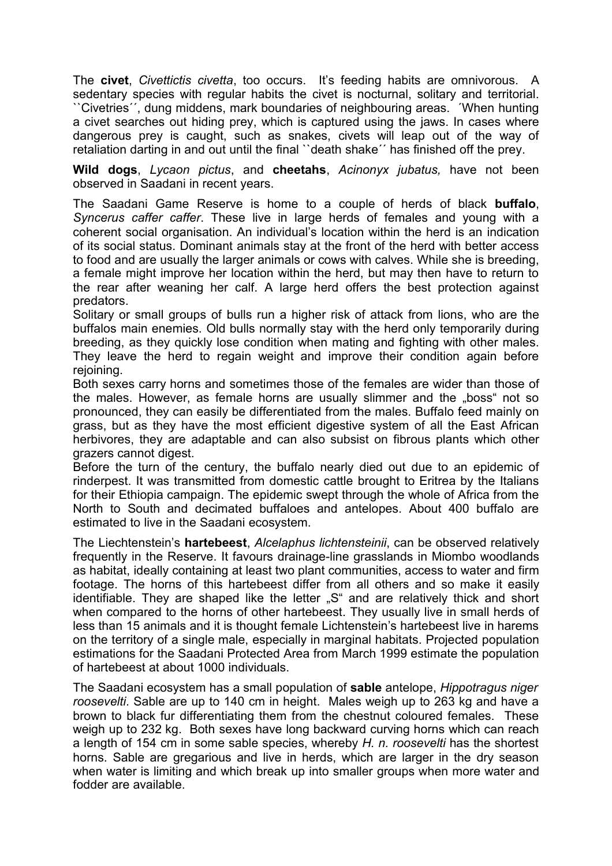The **civet**, *Civettictis civetta*, too occurs. It's feeding habits are omnivorous. A sedentary species with regular habits the civet is nocturnal, solitary and territorial. ``Civetries´´, dung middens, mark boundaries of neighbouring areas. ´When hunting a civet searches out hiding prey, which is captured using the jaws. In cases where dangerous prey is caught, such as snakes, civets will leap out of the way of retaliation darting in and out until the final ``death shake´´ has finished off the prey.

**Wild dogs**, *Lycaon pictus*, and **cheetahs**, *Acinonyx jubatus,* have not been observed in Saadani in recent years.

The Saadani Game Reserve is home to a couple of herds of black **buffalo**, *Syncerus caffer caffer*. These live in large herds of females and young with a coherent social organisation. An individual's location within the herd is an indication of its social status. Dominant animals stay at the front of the herd with better access to food and are usually the larger animals or cows with calves. While she is breeding, a female might improve her location within the herd, but may then have to return to the rear after weaning her calf. A large herd offers the best protection against predators.

Solitary or small groups of bulls run a higher risk of attack from lions, who are the buffalos main enemies. Old bulls normally stay with the herd only temporarily during breeding, as they quickly lose condition when mating and fighting with other males. They leave the herd to regain weight and improve their condition again before rejoining.

Both sexes carry horns and sometimes those of the females are wider than those of the males. However, as female horns are usually slimmer and the "boss" not so pronounced, they can easily be differentiated from the males. Buffalo feed mainly on grass, but as they have the most efficient digestive system of all the East African herbivores, they are adaptable and can also subsist on fibrous plants which other grazers cannot digest.

Before the turn of the century, the buffalo nearly died out due to an epidemic of rinderpest. It was transmitted from domestic cattle brought to Eritrea by the Italians for their Ethiopia campaign. The epidemic swept through the whole of Africa from the North to South and decimated buffaloes and antelopes. About 400 buffalo are estimated to live in the Saadani ecosystem.

The Liechtenstein's **hartebeest**, *Alcelaphus lichtensteinii*, can be observed relatively frequently in the Reserve. It favours drainage-line grasslands in Miombo woodlands as habitat, ideally containing at least two plant communities, access to water and firm footage. The horns of this hartebeest differ from all others and so make it easily identifiable. They are shaped like the letter "S" and are relatively thick and short when compared to the horns of other hartebeest. They usually live in small herds of less than 15 animals and it is thought female Lichtenstein's hartebeest live in harems on the territory of a single male, especially in marginal habitats. Projected population estimations for the Saadani Protected Area from March 1999 estimate the population of hartebeest at about 1000 individuals.

The Saadani ecosystem has a small population of **sable** antelope, *Hippotragus niger roosevelti*. Sable are up to 140 cm in height. Males weigh up to 263 kg and have a brown to black fur differentiating them from the chestnut coloured females. These weigh up to 232 kg. Both sexes have long backward curving horns which can reach a length of 154 cm in some sable species, whereby *H. n. roosevelti* has the shortest horns. Sable are gregarious and live in herds, which are larger in the dry season when water is limiting and which break up into smaller groups when more water and fodder are available.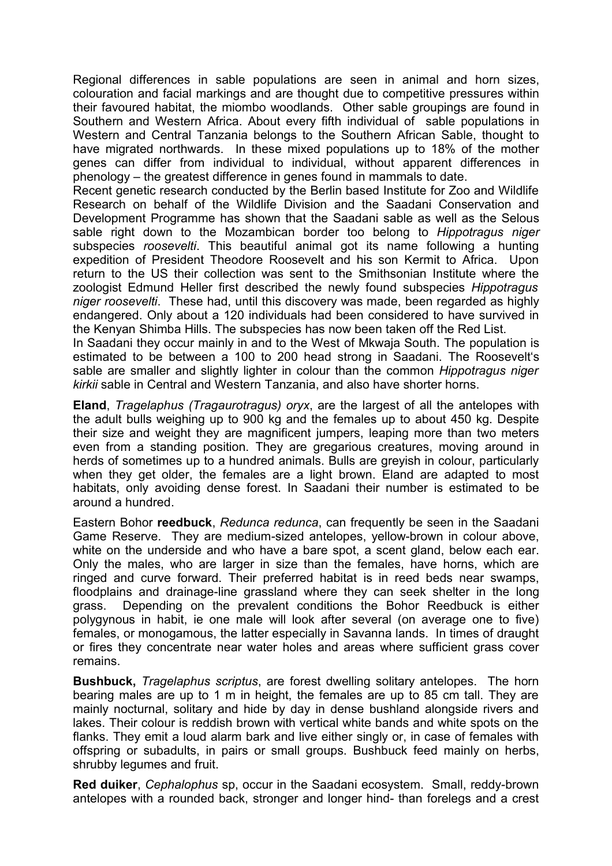Regional differences in sable populations are seen in animal and horn sizes, colouration and facial markings and are thought due to competitive pressures within their favoured habitat, the miombo woodlands. Other sable groupings are found in Southern and Western Africa. About every fifth individual of sable populations in Western and Central Tanzania belongs to the Southern African Sable, thought to have migrated northwards. In these mixed populations up to 18% of the mother genes can differ from individual to individual, without apparent differences in phenology – the greatest difference in genes found in mammals to date.

Recent genetic research conducted by the Berlin based Institute for Zoo and Wildlife Research on behalf of the Wildlife Division and the Saadani Conservation and Development Programme has shown that the Saadani sable as well as the Selous sable right down to the Mozambican border too belong to *Hippotragus niger* subspecies *roosevelti*. This beautiful animal got its name following a hunting expedition of President Theodore Roosevelt and his son Kermit to Africa. Upon return to the US their collection was sent to the Smithsonian Institute where the zoologist Edmund Heller first described the newly found subspecies *Hippotragus niger roosevelti*. These had, until this discovery was made, been regarded as highly endangered. Only about a 120 individuals had been considered to have survived in the Kenyan Shimba Hills. The subspecies has now been taken off the Red List.

In Saadani they occur mainly in and to the West of Mkwaja South. The population is estimated to be between a 100 to 200 head strong in Saadani. The Roosevelt's sable are smaller and slightly lighter in colour than the common *Hippotragus niger kirkii* sable in Central and Western Tanzania, and also have shorter horns.

**Eland**, *Tragelaphus (Tragaurotragus) oryx*, are the largest of all the antelopes with the adult bulls weighing up to 900 kg and the females up to about 450 kg. Despite their size and weight they are magnificent jumpers, leaping more than two meters even from a standing position. They are gregarious creatures, moving around in herds of sometimes up to a hundred animals. Bulls are greyish in colour, particularly when they get older, the females are a light brown. Eland are adapted to most habitats, only avoiding dense forest. In Saadani their number is estimated to be around a hundred.

Eastern Bohor **reedbuck**, *Redunca redunca*, can frequently be seen in the Saadani Game Reserve. They are medium-sized antelopes, yellow-brown in colour above, white on the underside and who have a bare spot, a scent gland, below each ear. Only the males, who are larger in size than the females, have horns, which are ringed and curve forward. Their preferred habitat is in reed beds near swamps, floodplains and drainage-line grassland where they can seek shelter in the long grass. Depending on the prevalent conditions the Bohor Reedbuck is either polygynous in habit, ie one male will look after several (on average one to five) females, or monogamous, the latter especially in Savanna lands. In times of draught or fires they concentrate near water holes and areas where sufficient grass cover remains.

**Bushbuck,** *Tragelaphus scriptus*, are forest dwelling solitary antelopes. The horn bearing males are up to 1 m in height, the females are up to 85 cm tall. They are mainly nocturnal, solitary and hide by day in dense bushland alongside rivers and lakes. Their colour is reddish brown with vertical white bands and white spots on the flanks. They emit a loud alarm bark and live either singly or, in case of females with offspring or subadults, in pairs or small groups. Bushbuck feed mainly on herbs, shrubby legumes and fruit.

**Red duiker**, *Cephalophus* sp, occur in the Saadani ecosystem. Small, reddy-brown antelopes with a rounded back, stronger and longer hind- than forelegs and a crest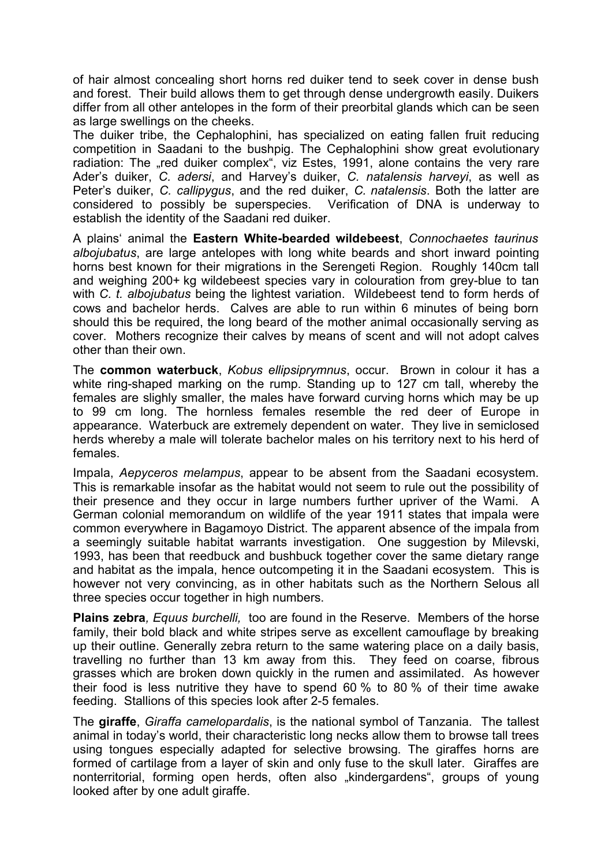of hair almost concealing short horns red duiker tend to seek cover in dense bush and forest. Their build allows them to get through dense undergrowth easily. Duikers differ from all other antelopes in the form of their preorbital glands which can be seen as large swellings on the cheeks.

The duiker tribe, the Cephalophini, has specialized on eating fallen fruit reducing competition in Saadani to the bushpig. The Cephalophini show great evolutionary radiation: The "red duiker complex", viz Estes, 1991, alone contains the very rare Ader's duiker, *C. adersi*, and Harvey's duiker, *C. natalensis harveyi*, as well as Peter's duiker, *C. callipygus*, and the red duiker, *C. natalensis*. Both the latter are considered to possibly be superspecies. Verification of DNA is underway to establish the identity of the Saadani red duiker.

A plains' animal the **Eastern White-bearded wildebeest**, *Connochaetes taurinus albojubatus*, are large antelopes with long white beards and short inward pointing horns best known for their migrations in the Serengeti Region. Roughly 140cm tall and weighing 200+ kg wildebeest species vary in colouration from grey-blue to tan with *C. t. albojubatus* being the lightest variation. Wildebeest tend to form herds of cows and bachelor herds. Calves are able to run within 6 minutes of being born should this be required, the long beard of the mother animal occasionally serving as cover. Mothers recognize their calves by means of scent and will not adopt calves other than their own.

The **common waterbuck**, *Kobus ellipsiprymnus*, occur. Brown in colour it has a white ring-shaped marking on the rump. Standing up to 127 cm tall, whereby the females are slighly smaller, the males have forward curving horns which may be up to 99 cm long. The hornless females resemble the red deer of Europe in appearance. Waterbuck are extremely dependent on water. They live in semiclosed herds whereby a male will tolerate bachelor males on his territory next to his herd of females.

Impala, *Aepyceros melampus*, appear to be absent from the Saadani ecosystem. This is remarkable insofar as the habitat would not seem to rule out the possibility of their presence and they occur in large numbers further upriver of the Wami. A German colonial memorandum on wildlife of the year 1911 states that impala were common everywhere in Bagamoyo District. The apparent absence of the impala from a seemingly suitable habitat warrants investigation. One suggestion by Milevski, 1993, has been that reedbuck and bushbuck together cover the same dietary range and habitat as the impala, hence outcompeting it in the Saadani ecosystem. This is however not very convincing, as in other habitats such as the Northern Selous all three species occur together in high numbers.

**Plains zebra***, Equus burchelli,* too are found in the Reserve. Members of the horse family, their bold black and white stripes serve as excellent camouflage by breaking up their outline. Generally zebra return to the same watering place on a daily basis, travelling no further than 13 km away from this. They feed on coarse, fibrous grasses which are broken down quickly in the rumen and assimilated. As however their food is less nutritive they have to spend 60 % to 80 % of their time awake feeding. Stallions of this species look after 2-5 females.

The **giraffe**, *Giraffa camelopardalis*, is the national symbol of Tanzania. The tallest animal in today's world, their characteristic long necks allow them to browse tall trees using tongues especially adapted for selective browsing. The giraffes horns are formed of cartilage from a layer of skin and only fuse to the skull later. Giraffes are nonterritorial, forming open herds, often also "kindergardens", groups of young looked after by one adult giraffe.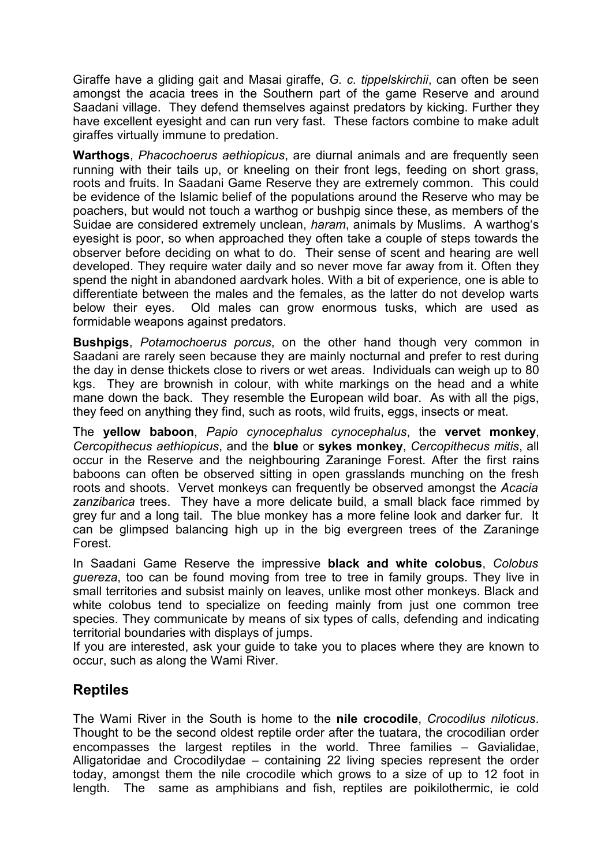Giraffe have a gliding gait and Masai giraffe, *G. c. tippelskirchii*, can often be seen amongst the acacia trees in the Southern part of the game Reserve and around Saadani village. They defend themselves against predators by kicking. Further they have excellent eyesight and can run very fast. These factors combine to make adult giraffes virtually immune to predation.

**Warthogs**, *Phacochoerus aethiopicus*, are diurnal animals and are frequently seen running with their tails up, or kneeling on their front legs, feeding on short grass, roots and fruits. In Saadani Game Reserve they are extremely common. This could be evidence of the Islamic belief of the populations around the Reserve who may be poachers, but would not touch a warthog or bushpig since these, as members of the Suidae are considered extremely unclean, *haram*, animals by Muslims. A warthog's eyesight is poor, so when approached they often take a couple of steps towards the observer before deciding on what to do. Their sense of scent and hearing are well developed. They require water daily and so never move far away from it. Often they spend the night in abandoned aardvark holes. With a bit of experience, one is able to differentiate between the males and the females, as the latter do not develop warts below their eyes. Old males can grow enormous tusks, which are used as formidable weapons against predators.

**Bushpigs**, *Potamochoerus porcus*, on the other hand though very common in Saadani are rarely seen because they are mainly nocturnal and prefer to rest during the day in dense thickets close to rivers or wet areas. Individuals can weigh up to 80 kgs. They are brownish in colour, with white markings on the head and a white mane down the back. They resemble the European wild boar. As with all the pigs, they feed on anything they find, such as roots, wild fruits, eggs, insects or meat.

The **yellow baboon**, *Papio cynocephalus cynocephalus*, the **vervet monkey**, *Cercopithecus aethiopicus*, and the **blue** or **sykes monkey**, *Cercopithecus mitis*, all occur in the Reserve and the neighbouring Zaraninge Forest. After the first rains baboons can often be observed sitting in open grasslands munching on the fresh roots and shoots. Vervet monkeys can frequently be observed amongst the *Acacia zanzibarica* trees. They have a more delicate build, a small black face rimmed by grey fur and a long tail. The blue monkey has a more feline look and darker fur. It can be glimpsed balancing high up in the big evergreen trees of the Zaraninge Forest.

In Saadani Game Reserve the impressive **black and white colobus**, *Colobus guereza*, too can be found moving from tree to tree in family groups. They live in small territories and subsist mainly on leaves, unlike most other monkeys. Black and white colobus tend to specialize on feeding mainly from just one common tree species. They communicate by means of six types of calls, defending and indicating territorial boundaries with displays of jumps.

If you are interested, ask your guide to take you to places where they are known to occur, such as along the Wami River.

## **Reptiles**

The Wami River in the South is home to the **nile crocodile**, *Crocodilus niloticus*. Thought to be the second oldest reptile order after the tuatara, the crocodilian order encompasses the largest reptiles in the world. Three families – Gavialidae, Alligatoridae and Crocodilydae – containing 22 living species represent the order today, amongst them the nile crocodile which grows to a size of up to 12 foot in length. The same as amphibians and fish, reptiles are poikilothermic, ie cold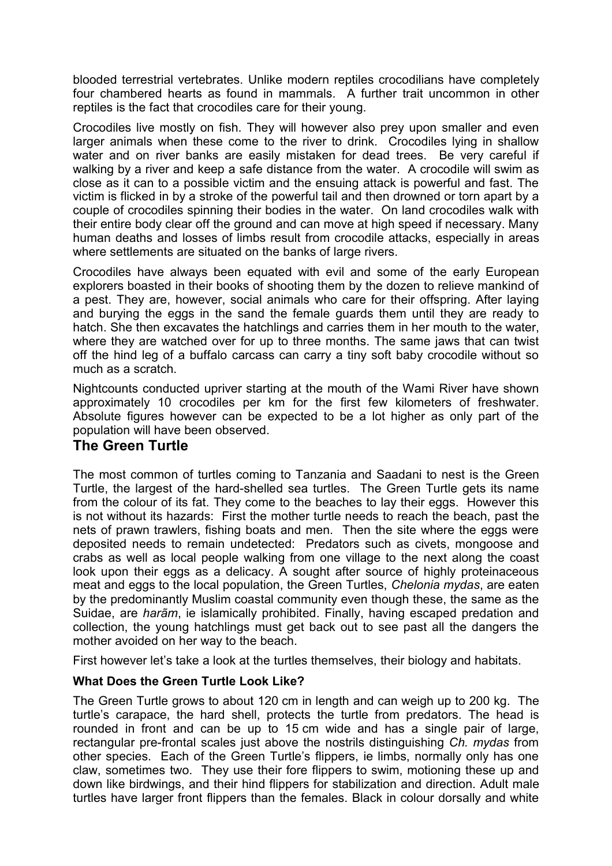blooded terrestrial vertebrates. Unlike modern reptiles crocodilians have completely four chambered hearts as found in mammals. A further trait uncommon in other reptiles is the fact that crocodiles care for their young.

Crocodiles live mostly on fish. They will however also prey upon smaller and even larger animals when these come to the river to drink. Crocodiles lying in shallow water and on river banks are easily mistaken for dead trees. Be very careful if walking by a river and keep a safe distance from the water. A crocodile will swim as close as it can to a possible victim and the ensuing attack is powerful and fast. The victim is flicked in by a stroke of the powerful tail and then drowned or torn apart by a couple of crocodiles spinning their bodies in the water. On land crocodiles walk with their entire body clear off the ground and can move at high speed if necessary. Many human deaths and losses of limbs result from crocodile attacks, especially in areas where settlements are situated on the banks of large rivers.

Crocodiles have always been equated with evil and some of the early European explorers boasted in their books of shooting them by the dozen to relieve mankind of a pest. They are, however, social animals who care for their offspring. After laying and burying the eggs in the sand the female guards them until they are ready to hatch. She then excavates the hatchlings and carries them in her mouth to the water, where they are watched over for up to three months. The same jaws that can twist off the hind leg of a buffalo carcass can carry a tiny soft baby crocodile without so much as a scratch.

Nightcounts conducted upriver starting at the mouth of the Wami River have shown approximately 10 crocodiles per km for the first few kilometers of freshwater. Absolute figures however can be expected to be a lot higher as only part of the population will have been observed.

## **The Green Turtle**

The most common of turtles coming to Tanzania and Saadani to nest is the Green Turtle, the largest of the hard-shelled sea turtles. The Green Turtle gets its name from the colour of its fat. They come to the beaches to lay their eggs. However this is not without its hazards: First the mother turtle needs to reach the beach, past the nets of prawn trawlers, fishing boats and men. Then the site where the eggs were deposited needs to remain undetected: Predators such as civets, mongoose and crabs as well as local people walking from one village to the next along the coast look upon their eggs as a delicacy. A sought after source of highly proteinaceous meat and eggs to the local population, the Green Turtles, *Chelonia mydas*, are eaten by the predominantly Muslim coastal community even though these, the same as the Suidae, are *harãm*, ie islamically prohibited. Finally, having escaped predation and collection, the young hatchlings must get back out to see past all the dangers the mother avoided on her way to the beach.

First however let's take a look at the turtles themselves, their biology and habitats.

#### **What Does the Green Turtle Look Like?**

The Green Turtle grows to about 120 cm in length and can weigh up to 200 kg. The turtle's carapace, the hard shell, protects the turtle from predators. The head is rounded in front and can be up to 15 cm wide and has a single pair of large, rectangular pre-frontal scales just above the nostrils distinguishing *Ch. mydas* from other species. Each of the Green Turtle's flippers, ie limbs, normally only has one claw, sometimes two. They use their fore flippers to swim, motioning these up and down like birdwings, and their hind flippers for stabilization and direction. Adult male turtles have larger front flippers than the females. Black in colour dorsally and white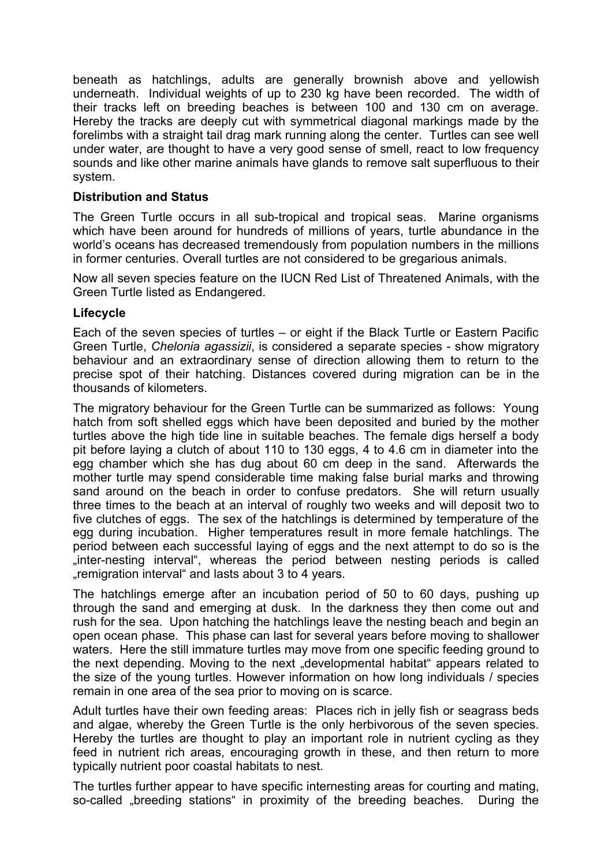beneath as hatchlings, adults are generally brownish above and yellowish underneath. Individual weights of up to 230 kg have been recorded. The width of their tracks left on breeding beaches is between 100 and 130 cm on average. Hereby the tracks are deeply cut with symmetrical diagonal markings made by the forelimbs with a straight tail drag mark running along the center. Turtles can see well under water, are thought to have a very good sense of smell, react to low frequency sounds and like other marine animals have glands to remove salt superfluous to their system.

#### **Distribution and Status**

The Green Turtle occurs in all sub-tropical and tropical seas. Marine organisms which have been around for hundreds of millions of years, turtle abundance in the world's oceans has decreased tremendously from population numbers in the millions in former centuries. Overall turtles are not considered to be gregarious animals.

Now all seven species feature on the IUCN Red List of Threatened Animals, with the Green Turtle listed as Endangered.

#### **Lifecycle**

Each of the seven species of turtles – or eight if the Black Turtle or Eastern Pacific Green Turtle, *Chelonia agassizii*, is considered a separate species - show migratory behaviour and an extraordinary sense of direction allowing them to return to the precise spot of their hatching. Distances covered during migration can be in the thousands of kilometers.

The migratory behaviour for the Green Turtle can be summarized as follows: Young hatch from soft shelled eggs which have been deposited and buried by the mother turtles above the high tide line in suitable beaches. The female digs herself a body pit before laying a clutch of about 110 to 130 eggs, 4 to 4.6 cm in diameter into the egg chamber which she has dug about 60 cm deep in the sand. Afterwards the mother turtle may spend considerable time making false burial marks and throwing sand around on the beach in order to confuse predators. She will return usually three times to the beach at an interval of roughly two weeks and will deposit two to five clutches of eggs. The sex of the hatchlings is determined by temperature of the egg during incubation. Higher temperatures result in more female hatchlings. The period between each successful laying of eggs and the next attempt to do so is the "inter-nesting interval", whereas the period between nesting periods is called "remigration interval" and lasts about 3 to 4 years.

The hatchlings emerge after an incubation period of 50 to 60 days, pushing up through the sand and emerging at dusk. In the darkness they then come out and rush for the sea. Upon hatching the hatchlings leave the nesting beach and begin an open ocean phase. This phase can last for several years before moving to shallower waters. Here the still immature turtles may move from one specific feeding ground to the next depending. Moving to the next "developmental habitat" appears related to the size of the young turtles. However information on how long individuals / species remain in one area of the sea prior to moving on is scarce.

Adult turtles have their own feeding areas: Places rich in jelly fish or seagrass beds and algae, whereby the Green Turtle is the only herbivorous of the seven species. Hereby the turtles are thought to play an important role in nutrient cycling as they feed in nutrient rich areas, encouraging growth in these, and then return to more typically nutrient poor coastal habitats to nest.

The turtles further appear to have specific internesting areas for courting and mating, so-called "breeding stations" in proximity of the breeding beaches. During the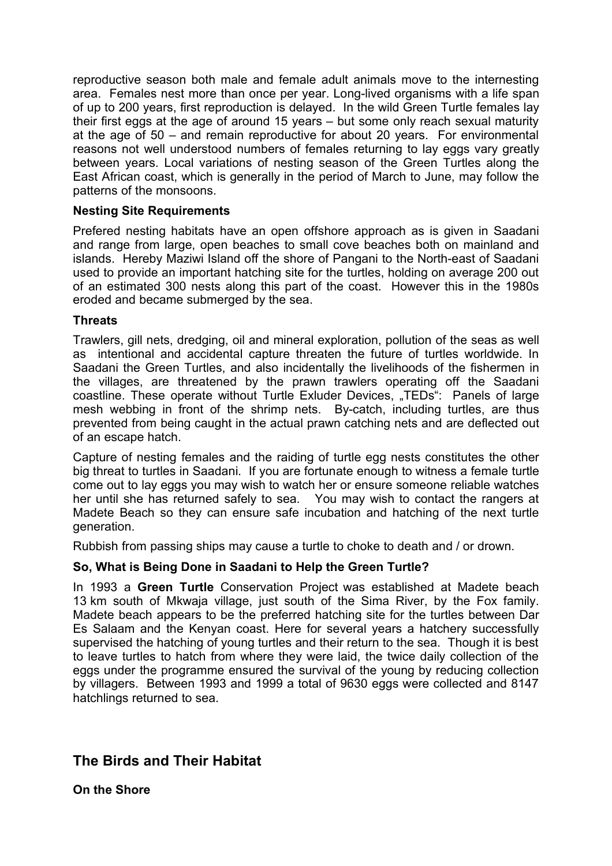reproductive season both male and female adult animals move to the internesting area. Females nest more than once per year. Long-lived organisms with a life span of up to 200 years, first reproduction is delayed. In the wild Green Turtle females lay their first eggs at the age of around 15 years – but some only reach sexual maturity at the age of 50 – and remain reproductive for about 20 years. For environmental reasons not well understood numbers of females returning to lay eggs vary greatly between years. Local variations of nesting season of the Green Turtles along the East African coast, which is generally in the period of March to June, may follow the patterns of the monsoons.

#### **Nesting Site Requirements**

Prefered nesting habitats have an open offshore approach as is given in Saadani and range from large, open beaches to small cove beaches both on mainland and islands. Hereby Maziwi Island off the shore of Pangani to the North-east of Saadani used to provide an important hatching site for the turtles, holding on average 200 out of an estimated 300 nests along this part of the coast. However this in the 1980s eroded and became submerged by the sea.

#### **Threats**

Trawlers, gill nets, dredging, oil and mineral exploration, pollution of the seas as well as intentional and accidental capture threaten the future of turtles worldwide. In Saadani the Green Turtles, and also incidentally the livelihoods of the fishermen in the villages, are threatened by the prawn trawlers operating off the Saadani coastline. These operate without Turtle Exluder Devices, "TEDs": Panels of large mesh webbing in front of the shrimp nets. By-catch, including turtles, are thus prevented from being caught in the actual prawn catching nets and are deflected out of an escape hatch.

Capture of nesting females and the raiding of turtle egg nests constitutes the other big threat to turtles in Saadani. If you are fortunate enough to witness a female turtle come out to lay eggs you may wish to watch her or ensure someone reliable watches her until she has returned safely to sea. You may wish to contact the rangers at Madete Beach so they can ensure safe incubation and hatching of the next turtle generation.

Rubbish from passing ships may cause a turtle to choke to death and / or drown.

#### **So, What is Being Done in Saadani to Help the Green Turtle?**

In 1993 a **Green Turtle** Conservation Project was established at Madete beach 13 km south of Mkwaja village, just south of the Sima River, by the Fox family. Madete beach appears to be the preferred hatching site for the turtles between Dar Es Salaam and the Kenyan coast. Here for several years a hatchery successfully supervised the hatching of young turtles and their return to the sea. Though it is best to leave turtles to hatch from where they were laid, the twice daily collection of the eggs under the programme ensured the survival of the young by reducing collection by villagers. Between 1993 and 1999 a total of 9630 eggs were collected and 8147 hatchlings returned to sea.

## **The Birds and Their Habitat**

**On the Shore**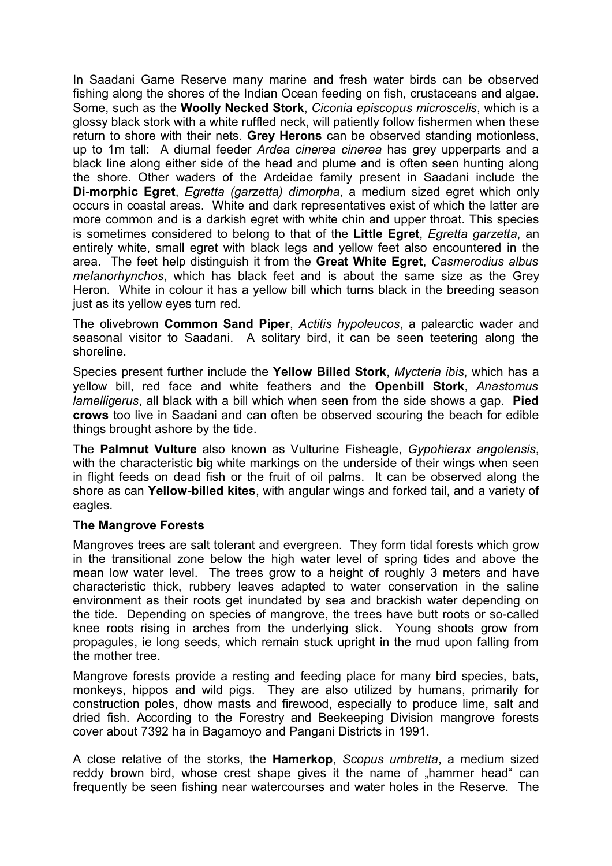In Saadani Game Reserve many marine and fresh water birds can be observed fishing along the shores of the Indian Ocean feeding on fish, crustaceans and algae. Some, such as the **Woolly Necked Stork**, *Ciconia episcopus microscelis*, which is a glossy black stork with a white ruffled neck, will patiently follow fishermen when these return to shore with their nets. **Grey Herons** can be observed standing motionless, up to 1m tall: A diurnal feeder *Ardea cinerea cinerea* has grey upperparts and a black line along either side of the head and plume and is often seen hunting along the shore. Other waders of the Ardeidae family present in Saadani include the **Di-morphic Egret**, *Egretta (garzetta) dimorpha*, a medium sized egret which only occurs in coastal areas. White and dark representatives exist of which the latter are more common and is a darkish egret with white chin and upper throat. This species is sometimes considered to belong to that of the **Little Egret**, *Egretta garzetta*, an entirely white, small egret with black legs and yellow feet also encountered in the area. The feet help distinguish it from the **Great White Egret**, *Casmerodius albus melanorhynchos*, which has black feet and is about the same size as the Grey Heron. White in colour it has a yellow bill which turns black in the breeding season just as its yellow eyes turn red.

The olivebrown **Common Sand Piper**, *Actitis hypoleucos*, a palearctic wader and seasonal visitor to Saadani. A solitary bird, it can be seen teetering along the shoreline.

Species present further include the **Yellow Billed Stork**, *Mycteria ibis*, which has a yellow bill, red face and white feathers and the **Openbill Stork**, *Anastomus lamelligerus*, all black with a bill which when seen from the side shows a gap. **Pied crows** too live in Saadani and can often be observed scouring the beach for edible things brought ashore by the tide.

The **Palmnut Vulture** also known as Vulturine Fisheagle, *Gypohierax angolensis*, with the characteristic big white markings on the underside of their wings when seen in flight feeds on dead fish or the fruit of oil palms. It can be observed along the shore as can **Yellow-billed kites**, with angular wings and forked tail, and a variety of eagles.

#### **The Mangrove Forests**

Mangroves trees are salt tolerant and evergreen. They form tidal forests which grow in the transitional zone below the high water level of spring tides and above the mean low water level. The trees grow to a height of roughly 3 meters and have characteristic thick, rubbery leaves adapted to water conservation in the saline environment as their roots get inundated by sea and brackish water depending on the tide. Depending on species of mangrove, the trees have butt roots or so-called knee roots rising in arches from the underlying slick. Young shoots grow from propagules, ie long seeds, which remain stuck upright in the mud upon falling from the mother tree.

Mangrove forests provide a resting and feeding place for many bird species, bats, monkeys, hippos and wild pigs. They are also utilized by humans, primarily for construction poles, dhow masts and firewood, especially to produce lime, salt and dried fish. According to the Forestry and Beekeeping Division mangrove forests cover about 7392 ha in Bagamoyo and Pangani Districts in 1991.

A close relative of the storks, the **Hamerkop**, *Scopus umbretta*, a medium sized reddy brown bird, whose crest shape gives it the name of "hammer head" can frequently be seen fishing near watercourses and water holes in the Reserve. The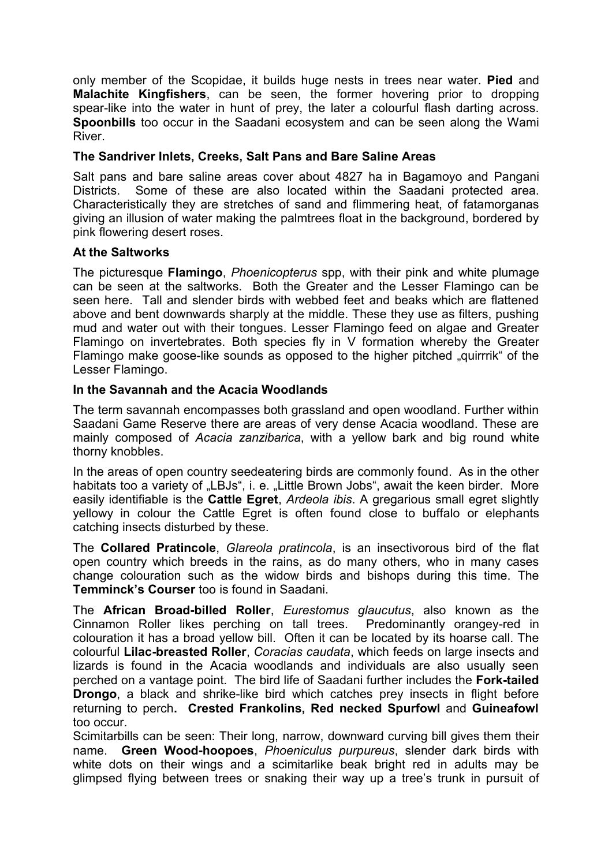only member of the Scopidae, it builds huge nests in trees near water. **Pied** and **Malachite Kingfishers**, can be seen, the former hovering prior to dropping spear-like into the water in hunt of prey, the later a colourful flash darting across. **Spoonbills** too occur in the Saadani ecosystem and can be seen along the Wami **River** 

#### **The Sandriver Inlets, Creeks, Salt Pans and Bare Saline Areas**

Salt pans and bare saline areas cover about 4827 ha in Bagamoyo and Pangani Districts. Some of these are also located within the Saadani protected area. Characteristically they are stretches of sand and flimmering heat, of fatamorganas giving an illusion of water making the palmtrees float in the background, bordered by pink flowering desert roses.

#### **At the Saltworks**

The picturesque **Flamingo**, *Phoenicopterus* spp, with their pink and white plumage can be seen at the saltworks. Both the Greater and the Lesser Flamingo can be seen here. Tall and slender birds with webbed feet and beaks which are flattened above and bent downwards sharply at the middle. These they use as filters, pushing mud and water out with their tongues. Lesser Flamingo feed on algae and Greater Flamingo on invertebrates. Both species fly in V formation whereby the Greater Flamingo make goose-like sounds as opposed to the higher pitched "guirrrik" of the Lesser Flamingo.

#### **In the Savannah and the Acacia Woodlands**

The term savannah encompasses both grassland and open woodland. Further within Saadani Game Reserve there are areas of very dense Acacia woodland. These are mainly composed of *Acacia zanzibarica*, with a yellow bark and big round white thorny knobbles.

In the areas of open country seedeatering birds are commonly found. As in the other habitats too a variety of "LBJs", i. e. "Little Brown Jobs", await the keen birder. More easily identifiable is the **Cattle Egret**, *Ardeola ibis*. A gregarious small egret slightly yellowy in colour the Cattle Egret is often found close to buffalo or elephants catching insects disturbed by these.

The **Collared Pratincole**, *Glareola pratincola*, is an insectivorous bird of the flat open country which breeds in the rains, as do many others, who in many cases change colouration such as the widow birds and bishops during this time. The **Temminck's Courser** too is found in Saadani.

The **African Broad-billed Roller**, *Eurestomus glaucutus*, also known as the Cinnamon Roller likes perching on tall trees. Predominantly orangey-red in colouration it has a broad yellow bill. Often it can be located by its hoarse call. The colourful **Lilac-breasted Roller**, *Coracias caudata*, which feeds on large insects and lizards is found in the Acacia woodlands and individuals are also usually seen perched on a vantage point. The bird life of Saadani further includes the **Fork-tailed Drongo**, a black and shrike-like bird which catches prey insects in flight before returning to perch**. Crested Frankolins, Red necked Spurfowl** and **Guineafowl** too occur.

Scimitarbills can be seen: Their long, narrow, downward curving bill gives them their name. **Green Wood-hoopoes**, *Phoeniculus purpureus*, slender dark birds with white dots on their wings and a scimitarlike beak bright red in adults may be glimpsed flying between trees or snaking their way up a tree's trunk in pursuit of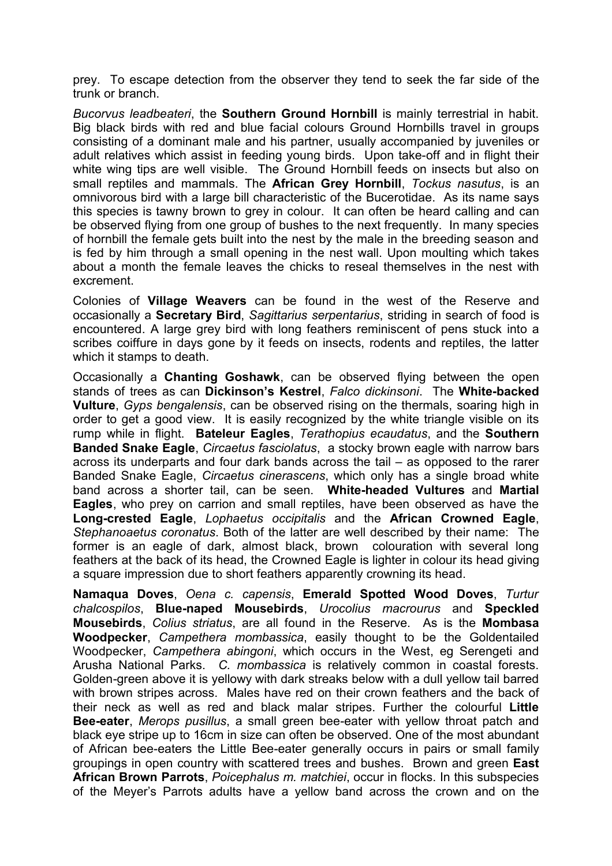prey. To escape detection from the observer they tend to seek the far side of the trunk or branch.

*Bucorvus leadbeateri*, the **Southern Ground Hornbill** is mainly terrestrial in habit. Big black birds with red and blue facial colours Ground Hornbills travel in groups consisting of a dominant male and his partner, usually accompanied by juveniles or adult relatives which assist in feeding young birds. Upon take-off and in flight their white wing tips are well visible. The Ground Hornbill feeds on insects but also on small reptiles and mammals. The **African Grey Hornbill**, *Tockus nasutus*, is an omnivorous bird with a large bill characteristic of the Bucerotidae. As its name says this species is tawny brown to grey in colour. It can often be heard calling and can be observed flying from one group of bushes to the next frequently. In many species of hornbill the female gets built into the nest by the male in the breeding season and is fed by him through a small opening in the nest wall. Upon moulting which takes about a month the female leaves the chicks to reseal themselves in the nest with excrement.

Colonies of **Village Weavers** can be found in the west of the Reserve and occasionally a **Secretary Bird**, *Sagittarius serpentarius*, striding in search of food is encountered. A large grey bird with long feathers reminiscent of pens stuck into a scribes coiffure in days gone by it feeds on insects, rodents and reptiles, the latter which it stamps to death.

Occasionally a **Chanting Goshawk**, can be observed flying between the open stands of trees as can **Dickinson's Kestrel**, *Falco dickinsoni*. The **White-backed Vulture**, *Gyps bengalensis*, can be observed rising on the thermals, soaring high in order to get a good view. It is easily recognized by the white triangle visible on its rump while in flight. **Bateleur Eagles**, *Terathopius ecaudatus*, and the **Southern Banded Snake Eagle**, *Circaetus fasciolatus*, a stocky brown eagle with narrow bars across its underparts and four dark bands across the tail – as opposed to the rarer Banded Snake Eagle, *Circaetus cinerascens*, which only has a single broad white band across a shorter tail, can be seen. **White-headed Vultures** and **Martial Eagles**, who prey on carrion and small reptiles, have been observed as have the **Long-crested Eagle**, *Lophaetus occipitalis* and the **African Crowned Eagle**, *Stephanoaetus coronatus*. Both of the latter are well described by their name: The former is an eagle of dark, almost black, brown colouration with several long feathers at the back of its head, the Crowned Eagle is lighter in colour its head giving a square impression due to short feathers apparently crowning its head.

**Namaqua Doves**, *Oena c. capensis*, **Emerald Spotted Wood Doves**, *Turtur chalcospilos*, **Blue-naped Mousebirds**, *Urocolius macrourus* and **Speckled Mousebirds**, *Colius striatus*, are all found in the Reserve. As is the **Mombasa Woodpecker**, *Campethera mombassica*, easily thought to be the Goldentailed Woodpecker, *Campethera abingoni*, which occurs in the West, eg Serengeti and Arusha National Parks. *C. mombassica* is relatively common in coastal forests. Golden-green above it is yellowy with dark streaks below with a dull yellow tail barred with brown stripes across. Males have red on their crown feathers and the back of their neck as well as red and black malar stripes. Further the colourful **Little Bee-eater**, *Merops pusillus*, a small green bee-eater with yellow throat patch and black eye stripe up to 16cm in size can often be observed. One of the most abundant of African bee-eaters the Little Bee-eater generally occurs in pairs or small family groupings in open country with scattered trees and bushes. Brown and green **East African Brown Parrots**, *Poicephalus m. matchiei*, occur in flocks. In this subspecies of the Meyer's Parrots adults have a yellow band across the crown and on the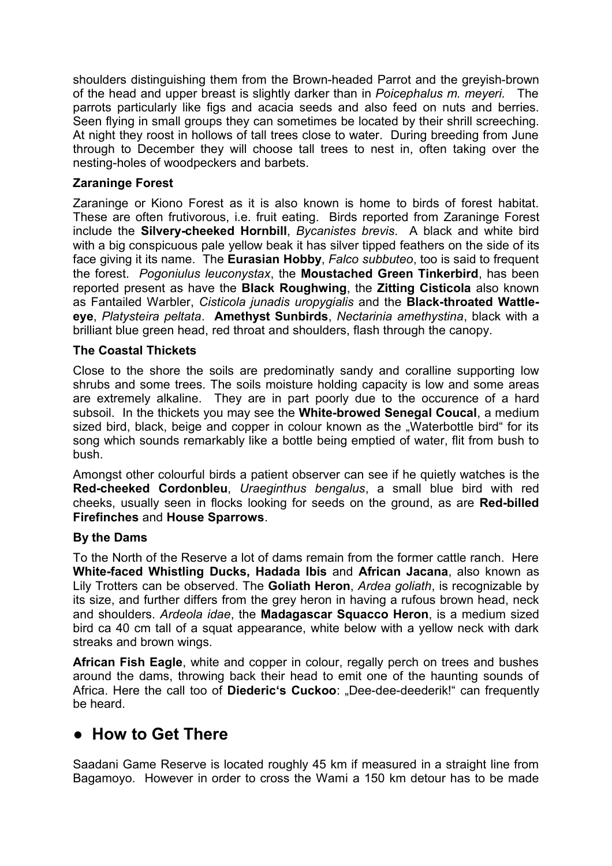shoulders distinguishing them from the Brown-headed Parrot and the greyish-brown of the head and upper breast is slightly darker than in *Poicephalus m. meyeri*. The parrots particularly like figs and acacia seeds and also feed on nuts and berries. Seen flying in small groups they can sometimes be located by their shrill screeching. At night they roost in hollows of tall trees close to water. During breeding from June through to December they will choose tall trees to nest in, often taking over the nesting-holes of woodpeckers and barbets.

#### **Zaraninge Forest**

Zaraninge or Kiono Forest as it is also known is home to birds of forest habitat. These are often frutivorous, i.e. fruit eating. Birds reported from Zaraninge Forest include the **Silvery-cheeked Hornbill**, *Bycanistes brevis*. A black and white bird with a big conspicuous pale yellow beak it has silver tipped feathers on the side of its face giving it its name. The **Eurasian Hobby**, *Falco subbuteo*, too is said to frequent the forest. *Pogoniulus leuconystax*, the **Moustached Green Tinkerbird**, has been reported present as have the **Black Roughwing**, the **Zitting Cisticola** also known as Fantailed Warbler, *Cisticola junadis uropygialis* and the **Black-throated Wattleeye**, *Platysteira peltata*. **Amethyst Sunbirds**, *Nectarinia amethystina*, black with a brilliant blue green head, red throat and shoulders, flash through the canopy.

#### **The Coastal Thickets**

Close to the shore the soils are predominatly sandy and coralline supporting low shrubs and some trees. The soils moisture holding capacity is low and some areas are extremely alkaline. They are in part poorly due to the occurence of a hard subsoil. In the thickets you may see the **White-browed Senegal Coucal**, a medium sized bird, black, beige and copper in colour known as the "Waterbottle bird" for its song which sounds remarkably like a bottle being emptied of water, flit from bush to bush.

Amongst other colourful birds a patient observer can see if he quietly watches is the **Red-cheeked Cordonbleu**, *Uraeginthus bengalus*, a small blue bird with red cheeks, usually seen in flocks looking for seeds on the ground, as are **Red-billed Firefinches** and **House Sparrows**.

#### **By the Dams**

To the North of the Reserve a lot of dams remain from the former cattle ranch. Here **White-faced Whistling Ducks, Hadada Ibis** and **African Jacana**, also known as Lily Trotters can be observed. The **Goliath Heron**, *Ardea goliath*, is recognizable by its size, and further differs from the grey heron in having a rufous brown head, neck and shoulders. *Ardeola idae*, the **Madagascar Squacco Heron**, is a medium sized bird ca 40 cm tall of a squat appearance, white below with a yellow neck with dark streaks and brown wings.

**African Fish Eagle**, white and copper in colour, regally perch on trees and bushes around the dams, throwing back their head to emit one of the haunting sounds of Africa. Here the call too of **Diederic's Cuckoo**: "Dee-dee-deederik!" can frequently be heard.

## **● How to Get There**

Saadani Game Reserve is located roughly 45 km if measured in a straight line from Bagamoyo. However in order to cross the Wami a 150 km detour has to be made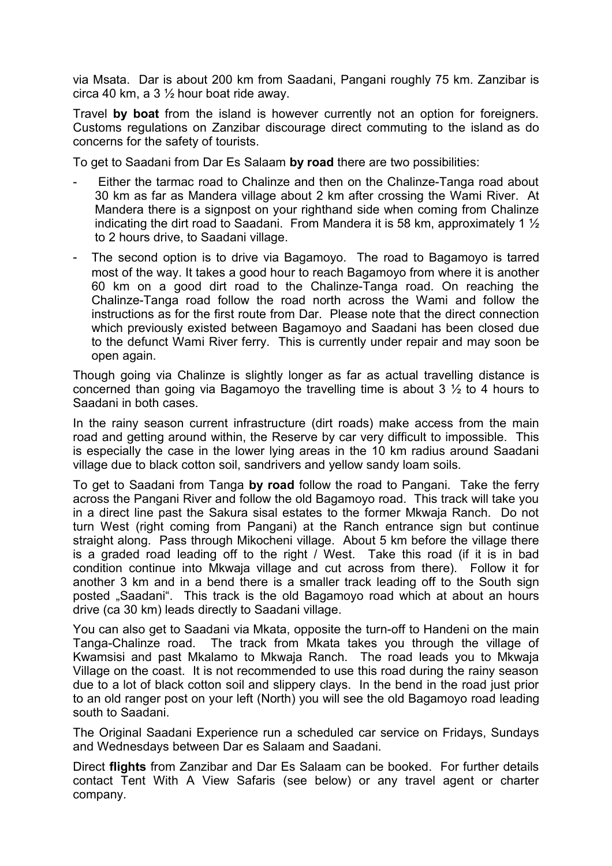via Msata. Dar is about 200 km from Saadani, Pangani roughly 75 km. Zanzibar is circa 40 km, a  $3\frac{1}{2}$  hour boat ride away.

Travel **by boat** from the island is however currently not an option for foreigners. Customs regulations on Zanzibar discourage direct commuting to the island as do concerns for the safety of tourists.

To get to Saadani from Dar Es Salaam **by road** there are two possibilities:

- Either the tarmac road to Chalinze and then on the Chalinze-Tanga road about 30 km as far as Mandera village about 2 km after crossing the Wami River. At Mandera there is a signpost on your righthand side when coming from Chalinze indicating the dirt road to Saadani. From Mandera it is 58 km, approximately 1 ½ to 2 hours drive, to Saadani village.
- The second option is to drive via Bagamoyo. The road to Bagamoyo is tarred most of the way. It takes a good hour to reach Bagamoyo from where it is another 60 km on a good dirt road to the Chalinze-Tanga road. On reaching the Chalinze-Tanga road follow the road north across the Wami and follow the instructions as for the first route from Dar. Please note that the direct connection which previously existed between Bagamoyo and Saadani has been closed due to the defunct Wami River ferry. This is currently under repair and may soon be open again.

Though going via Chalinze is slightly longer as far as actual travelling distance is concerned than going via Bagamoyo the travelling time is about 3 ½ to 4 hours to Saadani in both cases.

In the rainy season current infrastructure (dirt roads) make access from the main road and getting around within, the Reserve by car very difficult to impossible. This is especially the case in the lower lying areas in the 10 km radius around Saadani village due to black cotton soil, sandrivers and yellow sandy loam soils.

To get to Saadani from Tanga **by road** follow the road to Pangani. Take the ferry across the Pangani River and follow the old Bagamoyo road. This track will take you in a direct line past the Sakura sisal estates to the former Mkwaja Ranch. Do not turn West (right coming from Pangani) at the Ranch entrance sign but continue straight along. Pass through Mikocheni village. About 5 km before the village there is a graded road leading off to the right / West. Take this road (if it is in bad condition continue into Mkwaja village and cut across from there). Follow it for another 3 km and in a bend there is a smaller track leading off to the South sign posted "Saadani". This track is the old Bagamoyo road which at about an hours drive (ca 30 km) leads directly to Saadani village.

You can also get to Saadani via Mkata, opposite the turn-off to Handeni on the main Tanga-Chalinze road. The track from Mkata takes you through the village of Kwamsisi and past Mkalamo to Mkwaja Ranch. The road leads you to Mkwaja Village on the coast. It is not recommended to use this road during the rainy season due to a lot of black cotton soil and slippery clays. In the bend in the road just prior to an old ranger post on your left (North) you will see the old Bagamoyo road leading south to Saadani.

The Original Saadani Experience run a scheduled car service on Fridays, Sundays and Wednesdays between Dar es Salaam and Saadani.

Direct **flights** from Zanzibar and Dar Es Salaam can be booked. For further details contact Tent With A View Safaris (see below) or any travel agent or charter company.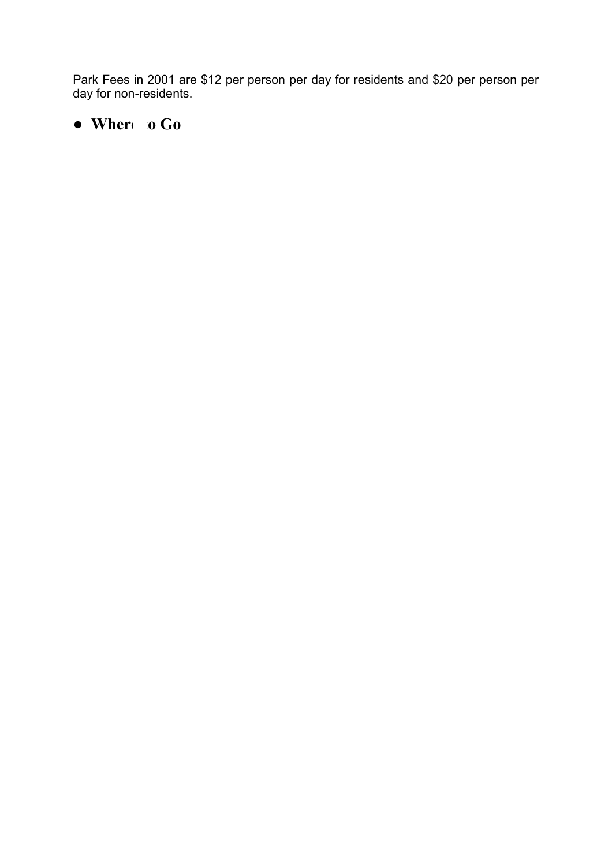Park Fees in 2001 are \$12 per person per day for residents and \$20 per person per day for non-residents.

# **● Where to Go**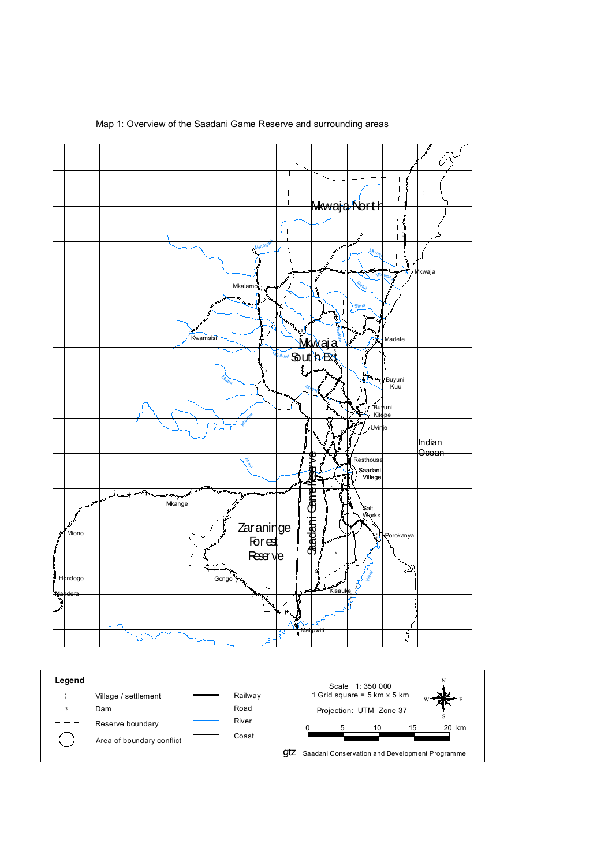

Map 1: Overview of the Saadani Game Reserve and surrounding areas

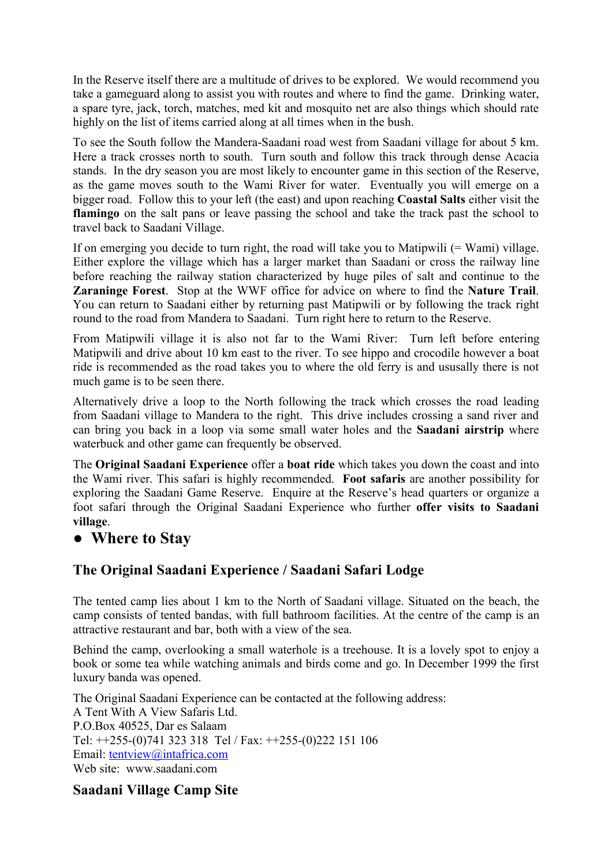In the Reserve itself there are a multitude of drives to be explored. We would recommend you take a gameguard along to assist you with routes and where to find the game. Drinking water, a spare tyre, jack, torch, matches, med kit and mosquito net are also things which should rate highly on the list of items carried along at all times when in the bush.

To see the South follow the Mandera-Saadani road west from Saadani village for about 5 km. Here a track crosses north to south. Turn south and follow this track through dense Acacia stands. In the dry season you are most likely to encounter game in this section of the Reserve, as the game moves south to the Wami River for water. Eventually you will emerge on a bigger road. Follow this to your left (the east) and upon reaching **Coastal Salts** either visit the **flamingo** on the salt pans or leave passing the school and take the track past the school to travel back to Saadani Village.

If on emerging you decide to turn right, the road will take you to Matipwili (= Wami) village. Either explore the village which has a larger market than Saadani or cross the railway line before reaching the railway station characterized by huge piles of salt and continue to the **Zaraninge Forest**. Stop at the WWF office for advice on where to find the **Nature Trail**. You can return to Saadani either by returning past Matipwili or by following the track right round to the road from Mandera to Saadani. Turn right here to return to the Reserve.

From Matipwili village it is also not far to the Wami River: Turn left before entering Matipwili and drive about 10 km east to the river. To see hippo and crocodile however a boat ride is recommended as the road takes you to where the old ferry is and ususally there is not much game is to be seen there.

Alternatively drive a loop to the North following the track which crosses the road leading from Saadani village to Mandera to the right. This drive includes crossing a sand river and can bring you back in a loop via some small water holes and the **Saadani airstrip** where waterbuck and other game can frequently be observed.

The **Original Saadani Experience** offer a **boat ride** which takes you down the coast and into the Wami river. This safari is highly recommended. **Foot safaris** are another possibility for exploring the Saadani Game Reserve. Enquire at the Reserve's head quarters or organize a foot safari through the Original Saadani Experience who further **offer visits to Saadani village**.

## **● Where to Stay**

## **The Original Saadani Experience / Saadani Safari Lodge**

The tented camp lies about 1 km to the North of Saadani village. Situated on the beach, the camp consists of tented bandas, with full bathroom facilities. At the centre of the camp is an attractive restaurant and bar, both with a view of the sea.

Behind the camp, overlooking a small waterhole is a treehouse. It is a lovely spot to enjoy a book or some tea while watching animals and birds come and go. In December 1999 the first luxury banda was opened.

The Original Saadani Experience can be contacted at the following address: A Tent With A View Safaris Ltd. P.O.Box 40525, Dar es Salaam Tel: ++255-(0)741 323 318 Tel / Fax: ++255-(0)222 151 106 Email: tentview@intafrica.com Web site: www.saadani.com

## **Saadani Village Camp Site**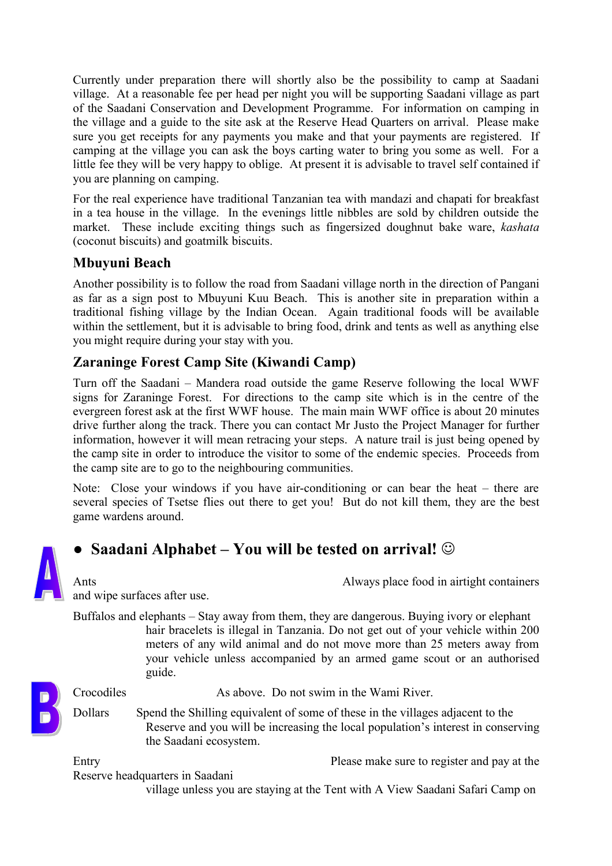Currently under preparation there will shortly also be the possibility to camp at Saadani village. At a reasonable fee per head per night you will be supporting Saadani village as part of the Saadani Conservation and Development Programme. For information on camping in the village and a guide to the site ask at the Reserve Head Quarters on arrival. Please make sure you get receipts for any payments you make and that your payments are registered. If camping at the village you can ask the boys carting water to bring you some as well. For a little fee they will be very happy to oblige. At present it is advisable to travel self contained if you are planning on camping.

For the real experience have traditional Tanzanian tea with mandazi and chapati for breakfast in a tea house in the village. In the evenings little nibbles are sold by children outside the market. These include exciting things such as fingersized doughnut bake ware, *kashata* (coconut biscuits) and goatmilk biscuits.

## **Mbuyuni Beach**

Another possibility is to follow the road from Saadani village north in the direction of Pangani as far as a sign post to Mbuyuni Kuu Beach. This is another site in preparation within a traditional fishing village by the Indian Ocean. Again traditional foods will be available within the settlement, but it is advisable to bring food, drink and tents as well as anything else you might require during your stay with you.

## **Zaraninge Forest Camp Site (Kiwandi Camp)**

Turn off the Saadani – Mandera road outside the game Reserve following the local WWF signs for Zaraninge Forest. For directions to the camp site which is in the centre of the evergreen forest ask at the first WWF house. The main main WWF office is about 20 minutes drive further along the track. There you can contact Mr Justo the Project Manager for further information, however it will mean retracing your steps. A nature trail is just being opened by the camp site in order to introduce the visitor to some of the endemic species. Proceeds from the camp site are to go to the neighbouring communities.

Note: Close your windows if you have air-conditioning or can bear the heat – there are several species of Tsetse flies out there to get you! But do not kill them, they are the best game wardens around.



## **● Saadani Alphabet – You will be tested on arrival!**

Ants **Always place food in airtight containers** 

and wipe surfaces after use.

Buffalos and elephants – Stay away from them, they are dangerous. Buying ivory or elephant hair bracelets is illegal in Tanzania. Do not get out of your vehicle within 200 meters of any wild animal and do not move more than 25 meters away from your vehicle unless accompanied by an armed game scout or an authorised guide.

Crocodiles As above. Do not swim in the Wami River.

Dollars Spend the Shilling equivalent of some of these in the villages adjacent to the Reserve and you will be increasing the local population's interest in conserving the Saadani ecosystem.

Entry Please make sure to register and pay at the

Reserve headquarters in Saadani

village unless you are staying at the Tent with A View Saadani Safari Camp on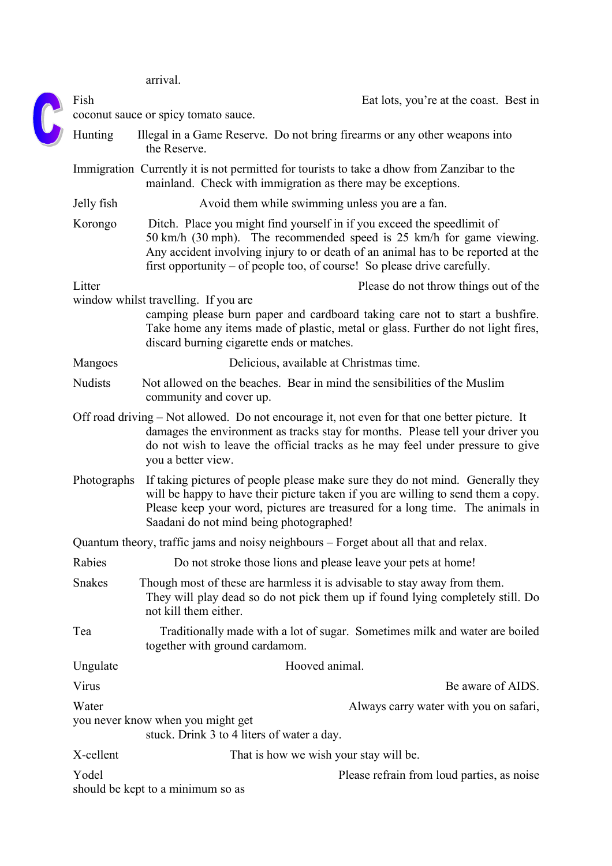arrival.

|  | Fish           | Eat lots, you're at the coast. Best in<br>coconut sauce or spicy tomato sauce.                                                                                                                                                                                                                                  |
|--|----------------|-----------------------------------------------------------------------------------------------------------------------------------------------------------------------------------------------------------------------------------------------------------------------------------------------------------------|
|  | Hunting        | Illegal in a Game Reserve. Do not bring firearms or any other weapons into<br>the Reserve.                                                                                                                                                                                                                      |
|  |                | Immigration Currently it is not permitted for tourists to take a dhow from Zanzibar to the<br>mainland. Check with immigration as there may be exceptions.                                                                                                                                                      |
|  | Jelly fish     | Avoid them while swimming unless you are a fan.                                                                                                                                                                                                                                                                 |
|  | Korongo        | Ditch. Place you might find yourself in if you exceed the speedlimit of<br>50 km/h (30 mph). The recommended speed is 25 km/h for game viewing.<br>Any accident involving injury to or death of an animal has to be reported at the<br>first opportunity – of people too, of course! So please drive carefully. |
|  | Litter         | Please do not throw things out of the                                                                                                                                                                                                                                                                           |
|  |                | window whilst travelling. If you are<br>camping please burn paper and cardboard taking care not to start a bushfire.<br>Take home any items made of plastic, metal or glass. Further do not light fires,<br>discard burning cigarette ends or matches.                                                          |
|  | Mangoes        | Delicious, available at Christmas time.                                                                                                                                                                                                                                                                         |
|  | <b>Nudists</b> | Not allowed on the beaches. Bear in mind the sensibilities of the Muslim<br>community and cover up.                                                                                                                                                                                                             |
|  |                | Off road driving – Not allowed. Do not encourage it, not even for that one better picture. It<br>damages the environment as tracks stay for months. Please tell your driver you<br>do not wish to leave the official tracks as he may feel under pressure to give<br>you a better view.                         |
|  | Photographs    | If taking pictures of people please make sure they do not mind. Generally they<br>will be happy to have their picture taken if you are willing to send them a copy.<br>Please keep your word, pictures are treasured for a long time. The animals in<br>Saadani do not mind being photographed!                 |
|  |                | Quantum theory, traffic jams and noisy neighbours – Forget about all that and relax.                                                                                                                                                                                                                            |
|  | Rabies         | Do not stroke those lions and please leave your pets at home!                                                                                                                                                                                                                                                   |
|  | <b>Snakes</b>  | Though most of these are harmless it is advisable to stay away from them.<br>They will play dead so do not pick them up if found lying completely still. Do<br>not kill them either.                                                                                                                            |
|  | Tea            | Traditionally made with a lot of sugar. Sometimes milk and water are boiled<br>together with ground cardamom.                                                                                                                                                                                                   |
|  | Ungulate       | Hooved animal.                                                                                                                                                                                                                                                                                                  |
|  | Virus          | Be aware of AIDS.                                                                                                                                                                                                                                                                                               |
|  | Water          | Always carry water with you on safari,                                                                                                                                                                                                                                                                          |
|  |                | you never know when you might get<br>stuck. Drink 3 to 4 liters of water a day.                                                                                                                                                                                                                                 |
|  | X-cellent      | That is how we wish your stay will be.                                                                                                                                                                                                                                                                          |
|  | Yodel          | Please refrain from loud parties, as noise<br>should be kept to a minimum so as                                                                                                                                                                                                                                 |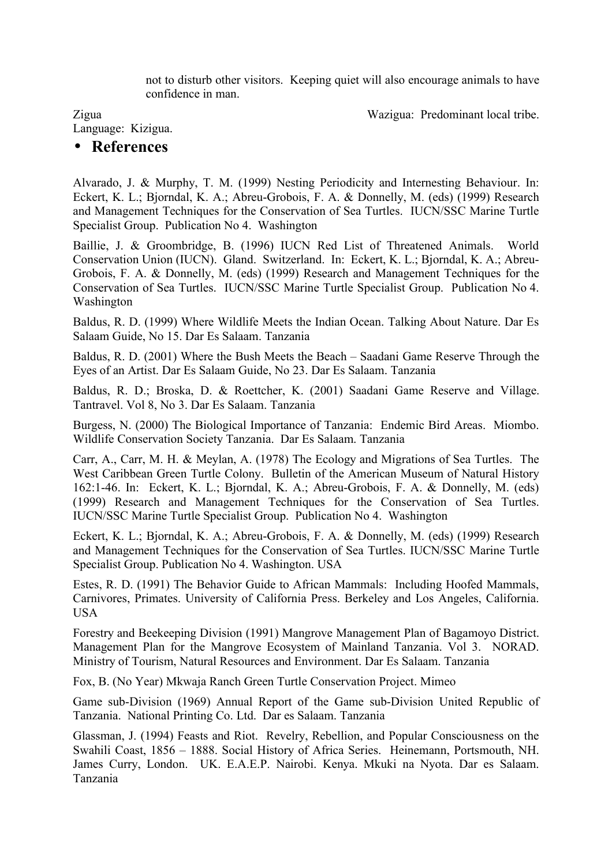not to disturb other visitors. Keeping quiet will also encourage animals to have confidence in man.

Zigua Wazigua: Predominant local tribe.

Language: Kizigua.

## • **References**

Alvarado, J. & Murphy, T. M. (1999) Nesting Periodicity and Internesting Behaviour. In: Eckert, K. L.; Bjorndal, K. A.; Abreu-Grobois, F. A. & Donnelly, M. (eds) (1999) Research and Management Techniques for the Conservation of Sea Turtles. IUCN/SSC Marine Turtle Specialist Group. Publication No 4. Washington

Baillie, J. & Groombridge, B. (1996) IUCN Red List of Threatened Animals. World Conservation Union (IUCN). Gland. Switzerland. In: Eckert, K. L.; Bjorndal, K. A.; Abreu-Grobois, F. A. & Donnelly, M. (eds) (1999) Research and Management Techniques for the Conservation of Sea Turtles. IUCN/SSC Marine Turtle Specialist Group. Publication No 4. Washington

Baldus, R. D. (1999) Where Wildlife Meets the Indian Ocean. Talking About Nature. Dar Es Salaam Guide, No 15. Dar Es Salaam. Tanzania

Baldus, R. D. (2001) Where the Bush Meets the Beach – Saadani Game Reserve Through the Eyes of an Artist. Dar Es Salaam Guide, No 23. Dar Es Salaam. Tanzania

Baldus, R. D.; Broska, D. & Roettcher, K. (2001) Saadani Game Reserve and Village. Tantravel. Vol 8, No 3. Dar Es Salaam. Tanzania

Burgess, N. (2000) The Biological Importance of Tanzania: Endemic Bird Areas. Miombo. Wildlife Conservation Society Tanzania. Dar Es Salaam. Tanzania

Carr, A., Carr, M. H. & Meylan, A. (1978) The Ecology and Migrations of Sea Turtles. The West Caribbean Green Turtle Colony. Bulletin of the American Museum of Natural History 162:1-46. In: Eckert, K. L.; Bjorndal, K. A.; Abreu-Grobois, F. A. & Donnelly, M. (eds) (1999) Research and Management Techniques for the Conservation of Sea Turtles. IUCN/SSC Marine Turtle Specialist Group. Publication No 4. Washington

Eckert, K. L.; Bjorndal, K. A.; Abreu-Grobois, F. A. & Donnelly, M. (eds) (1999) Research and Management Techniques for the Conservation of Sea Turtles. IUCN/SSC Marine Turtle Specialist Group. Publication No 4. Washington. USA

Estes, R. D. (1991) The Behavior Guide to African Mammals: Including Hoofed Mammals, Carnivores, Primates. University of California Press. Berkeley and Los Angeles, California. USA

Forestry and Beekeeping Division (1991) Mangrove Management Plan of Bagamoyo District. Management Plan for the Mangrove Ecosystem of Mainland Tanzania. Vol 3. NORAD. Ministry of Tourism, Natural Resources and Environment. Dar Es Salaam. Tanzania

Fox, B. (No Year) Mkwaja Ranch Green Turtle Conservation Project. Mimeo

Game sub-Division (1969) Annual Report of the Game sub-Division United Republic of Tanzania. National Printing Co. Ltd. Dar es Salaam. Tanzania

Glassman, J. (1994) Feasts and Riot. Revelry, Rebellion, and Popular Consciousness on the Swahili Coast, 1856 – 1888. Social History of Africa Series. Heinemann, Portsmouth, NH. James Curry, London. UK. E.A.E.P. Nairobi. Kenya. Mkuki na Nyota. Dar es Salaam. Tanzania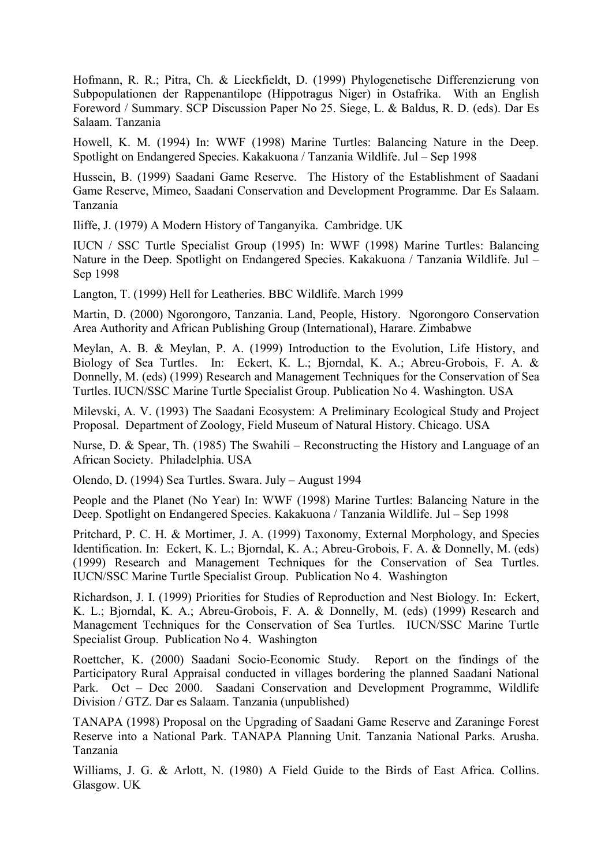Hofmann, R. R.; Pitra, Ch. & Lieckfieldt, D. (1999) Phylogenetische Differenzierung von Subpopulationen der Rappenantilope (Hippotragus Niger) in Ostafrika. With an English Foreword / Summary. SCP Discussion Paper No 25. Siege, L. & Baldus, R. D. (eds). Dar Es Salaam. Tanzania

Howell, K. M. (1994) In: WWF (1998) Marine Turtles: Balancing Nature in the Deep. Spotlight on Endangered Species. Kakakuona / Tanzania Wildlife. Jul – Sep 1998

Hussein, B. (1999) Saadani Game Reserve. The History of the Establishment of Saadani Game Reserve, Mimeo, Saadani Conservation and Development Programme. Dar Es Salaam. Tanzania

Iliffe, J. (1979) A Modern History of Tanganyika. Cambridge. UK

IUCN / SSC Turtle Specialist Group (1995) In: WWF (1998) Marine Turtles: Balancing Nature in the Deep. Spotlight on Endangered Species. Kakakuona / Tanzania Wildlife. Jul – Sep 1998

Langton, T. (1999) Hell for Leatheries. BBC Wildlife. March 1999

Martin, D. (2000) Ngorongoro, Tanzania. Land, People, History. Ngorongoro Conservation Area Authority and African Publishing Group (International), Harare. Zimbabwe

Meylan, A. B. & Meylan, P. A. (1999) Introduction to the Evolution, Life History, and Biology of Sea Turtles. In: Eckert, K. L.; Bjorndal, K. A.; Abreu-Grobois, F. A. & Donnelly, M. (eds) (1999) Research and Management Techniques for the Conservation of Sea Turtles. IUCN/SSC Marine Turtle Specialist Group. Publication No 4. Washington. USA

Milevski, A. V. (1993) The Saadani Ecosystem: A Preliminary Ecological Study and Project Proposal. Department of Zoology, Field Museum of Natural History. Chicago. USA

Nurse, D. & Spear, Th. (1985) The Swahili – Reconstructing the History and Language of an African Society. Philadelphia. USA

Olendo, D. (1994) Sea Turtles. Swara. July – August 1994

People and the Planet (No Year) In: WWF (1998) Marine Turtles: Balancing Nature in the Deep. Spotlight on Endangered Species. Kakakuona / Tanzania Wildlife. Jul – Sep 1998

Pritchard, P. C. H. & Mortimer, J. A. (1999) Taxonomy, External Morphology, and Species Identification. In: Eckert, K. L.; Bjorndal, K. A.; Abreu-Grobois, F. A. & Donnelly, M. (eds) (1999) Research and Management Techniques for the Conservation of Sea Turtles. IUCN/SSC Marine Turtle Specialist Group. Publication No 4. Washington

Richardson, J. I. (1999) Priorities for Studies of Reproduction and Nest Biology. In: Eckert, K. L.; Bjorndal, K. A.; Abreu-Grobois, F. A. & Donnelly, M. (eds) (1999) Research and Management Techniques for the Conservation of Sea Turtles. IUCN/SSC Marine Turtle Specialist Group. Publication No 4. Washington

Roettcher, K. (2000) Saadani Socio-Economic Study. Report on the findings of the Participatory Rural Appraisal conducted in villages bordering the planned Saadani National Park. Oct – Dec 2000. Saadani Conservation and Development Programme, Wildlife Division / GTZ. Dar es Salaam. Tanzania (unpublished)

TANAPA (1998) Proposal on the Upgrading of Saadani Game Reserve and Zaraninge Forest Reserve into a National Park. TANAPA Planning Unit. Tanzania National Parks. Arusha. Tanzania

Williams, J. G. & Arlott, N. (1980) A Field Guide to the Birds of East Africa. Collins. Glasgow. UK